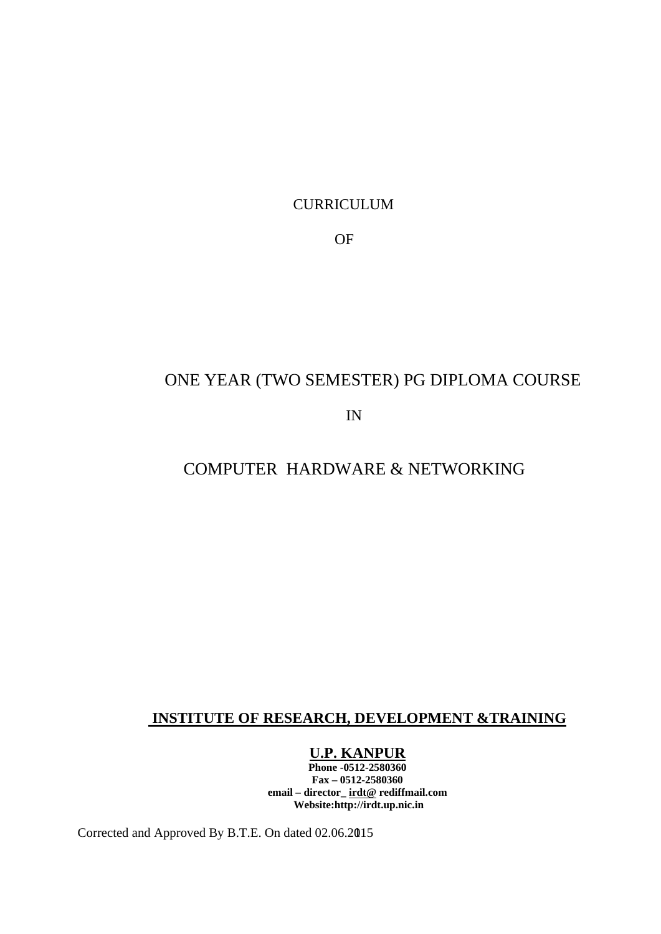CURRICULUM

OF

# ONE YEAR (TWO SEMESTER) PG DIPLOMA COURSE

IN

# COMPUTER HARDWARE & NETWORKING

# **INSTITUTE OF RESEARCH, DEVELOPMENT &TRAINING**

### **U.P. KANPUR**

**Phone -0512-2580360 Fax – 0512-2580360 email – director\_ irdt@ rediffmail.com Website:http://irdt.up.nic.in**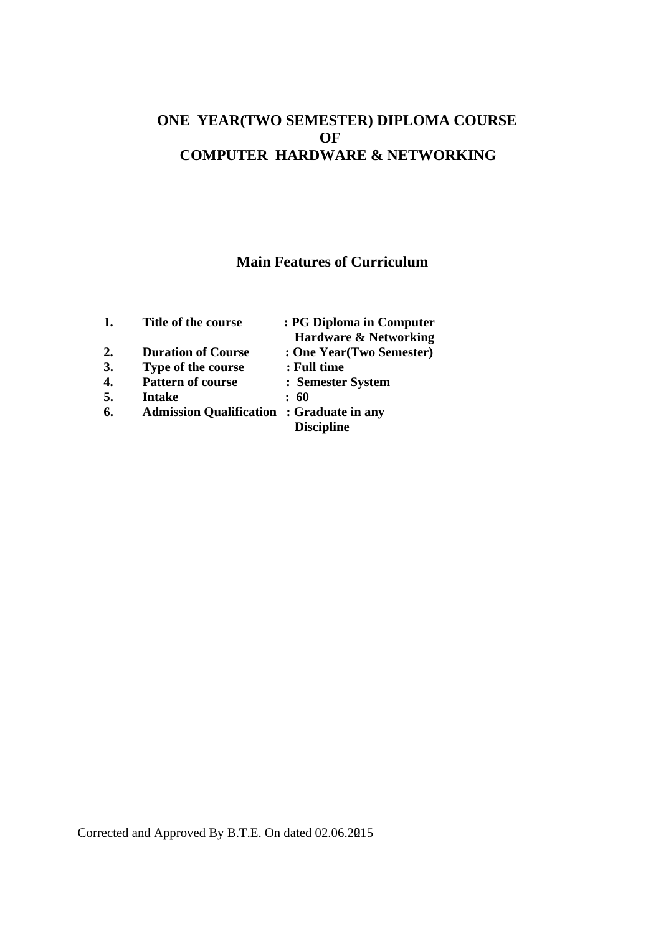## **ONE YEAR(TWO SEMESTER) DIPLOMA COURSE OF COMPUTER HARDWARE & NETWORKING**

## **Main Features of Curriculum**

| 1.                 | Title of the course                              | : PG Diploma in Computer         |
|--------------------|--------------------------------------------------|----------------------------------|
|                    |                                                  | <b>Hardware &amp; Networking</b> |
| 2.                 | <b>Duration of Course</b>                        | : One Year(Two Semester)         |
| 3.                 | Type of the course                               | : Full time                      |
| $\boldsymbol{4}$ . | <b>Pattern of course</b>                         | : Semester System                |
| 5.                 | Intake                                           | : 60                             |
| 6.                 | <b>Admission Qualification : Graduate in any</b> |                                  |
|                    |                                                  | <b>Discipline</b>                |
|                    |                                                  |                                  |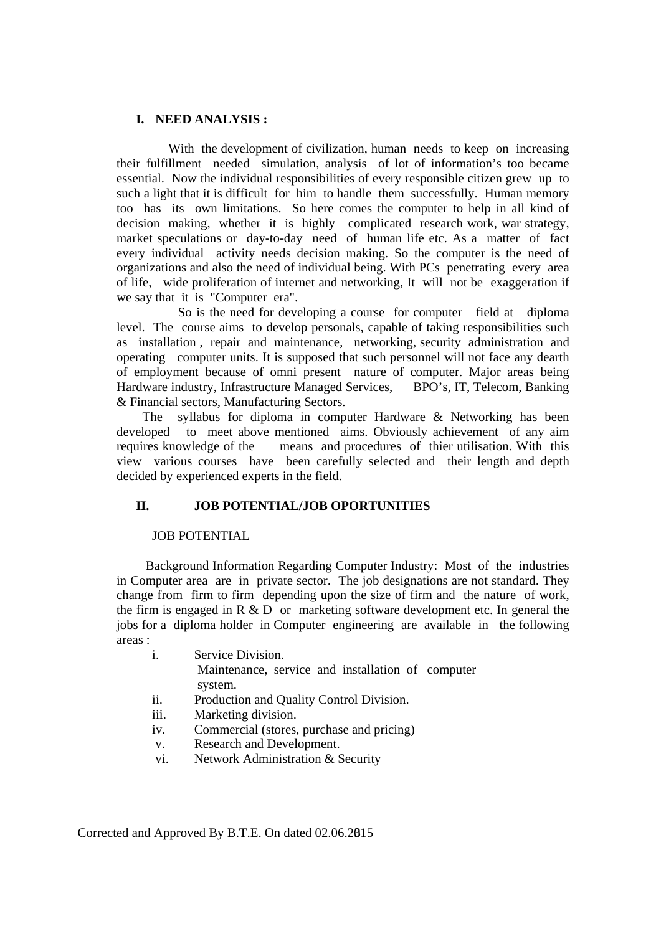### **I. NEED ANALYSIS :**

 With the development of civilization, human needs to keep on increasing their fulfillment needed simulation, analysis of lot of information's too became essential. Now the individual responsibilities of every responsible citizen grew up to such a light that it is difficult for him to handle them successfully. Human memory too has its own limitations. So here comes the computer to help in all kind of decision making, whether it is highly complicated research work, war strategy, market speculations or day-to-day need of human life etc. As a matter of fact every individual activity needs decision making. So the computer is the need of organizations and also the need of individual being. With PCs penetrating every area of life, wide proliferation of internet and networking, It will not be exaggeration if we say that it is "Computer era".

 So is the need for developing a course for computer field at diploma level. The course aims to develop personals, capable of taking responsibilities such as installation , repair and maintenance, networking, security administration and operating computer units. It is supposed that such personnel will not face any dearth of employment because of omni present nature of computer. Major areas being Hardware industry, Infrastructure Managed Services, BPO's, IT, Telecom, Banking & Financial sectors, Manufacturing Sectors.

 The syllabus for diploma in computer Hardware & Networking has been developed to meet above mentioned aims. Obviously achievement of any aim requires knowledge of the means and procedures of thier utilisation. With this view various courses have been carefully selected and their length and depth decided by experienced experts in the field.

### **II. JOB POTENTIAL/JOB OPORTUNITIES**

### JOB POTENTIAL

 Background Information Regarding Computer Industry: Most of the industries in Computer area are in private sector. The job designations are not standard. They change from firm to firm depending upon the size of firm and the nature of work, the firm is engaged in  $R \& D$  or marketing software development etc. In general the jobs for a diploma holder in Computer engineering are available in the following areas :

- i. Service Division. Maintenance, service and installation of computer system.
- ii. Production and Quality Control Division.
- iii. Marketing division.
- iv. Commercial (stores, purchase and pricing)
- v. Research and Development.
- vi. Network Administration & Security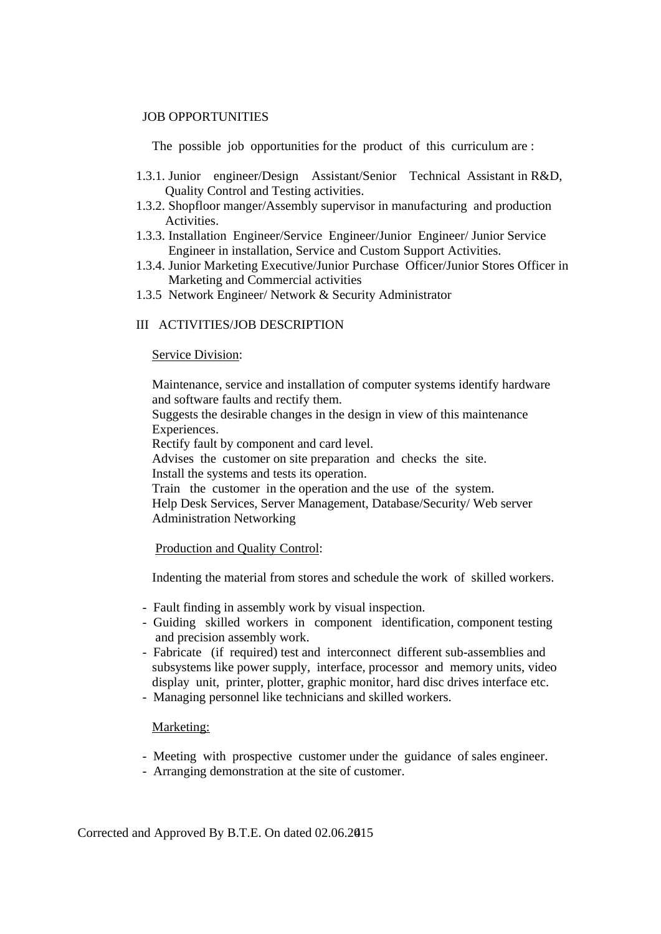### JOB OPPORTUNITIES

The possible job opportunities for the product of this curriculum are :

- 1.3.1. Junior engineer/Design Assistant/Senior Technical Assistant in R&D, Quality Control and Testing activities.
- 1.3.2. Shopfloor manger/Assembly supervisor in manufacturing and production Activities.
- 1.3.3. Installation Engineer/Service Engineer/Junior Engineer/ Junior Service Engineer in installation, Service and Custom Support Activities.
- 1.3.4. Junior Marketing Executive/Junior Purchase Officer/Junior Stores Officer in Marketing and Commercial activities
- 1.3.5 Network Engineer/ Network & Security Administrator

### III ACTIVITIES/JOB DESCRIPTION

#### Service Division:

 Maintenance, service and installation of computer systems identify hardware and software faults and rectify them.

 Suggests the desirable changes in the design in view of this maintenance Experiences.

Rectify fault by component and card level.

 Advises the customer on site preparation and checks the site. Install the systems and tests its operation.

 Train the customer in the operation and the use of the system. Help Desk Services, Server Management, Database/Security/ Web server Administration Networking

#### Production and Quality Control:

Indenting the material from stores and schedule the work of skilled workers.

- Fault finding in assembly work by visual inspection.
- Guiding skilled workers in component identification, component testing and precision assembly work.
- Fabricate (if required) test and interconnect different sub-assemblies and subsystems like power supply, interface, processor and memory units, video display unit, printer, plotter, graphic monitor, hard disc drives interface etc.
- Managing personnel like technicians and skilled workers.

#### Marketing:

- Meeting with prospective customer under the guidance of sales engineer.
- Arranging demonstration at the site of customer.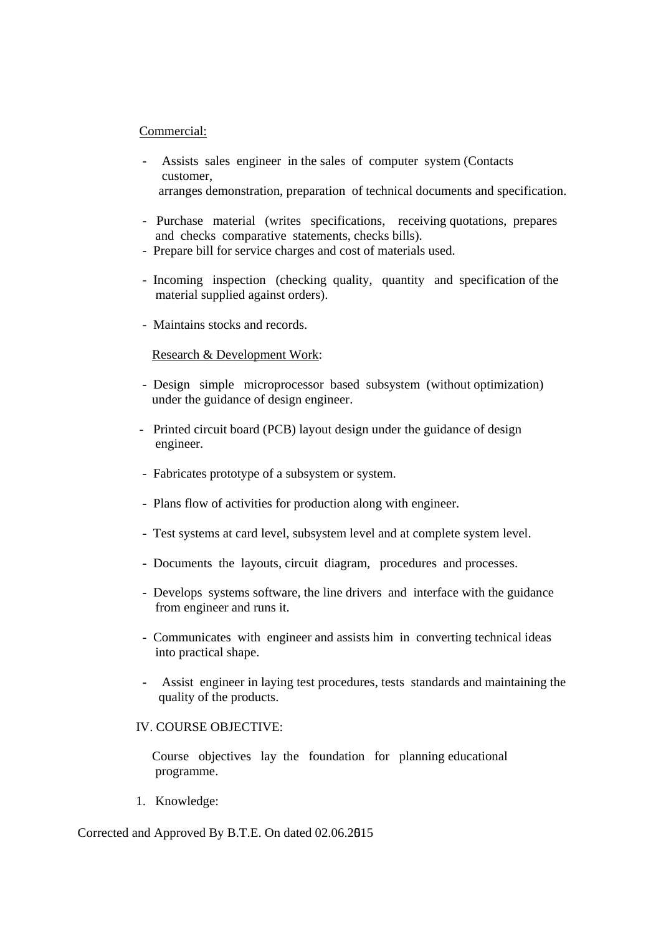### Commercial:

- Assists sales engineer in the sales of computer system (Contacts customer, arranges demonstration, preparation of technical documents and specification.
- Purchase material (writes specifications, receiving quotations, prepares and checks comparative statements, checks bills).
- Prepare bill for service charges and cost of materials used.
- Incoming inspection (checking quality, quantity and specification of the material supplied against orders).
- Maintains stocks and records.

### Research & Development Work:

- Design simple microprocessor based subsystem (without optimization) under the guidance of design engineer.
- Printed circuit board (PCB) layout design under the guidance of design engineer.
- Fabricates prototype of a subsystem or system.
- Plans flow of activities for production along with engineer.
- Test systems at card level, subsystem level and at complete system level.
- Documents the layouts, circuit diagram, procedures and processes.
- Develops systems software, the line drivers and interface with the guidance from engineer and runs it.
- Communicates with engineer and assists him in converting technical ideas into practical shape.
- Assist engineer in laying test procedures, tests standards and maintaining the quality of the products.

### IV. COURSE OBJECTIVE:

 Course objectives lay the foundation for planning educational programme.

1. Knowledge: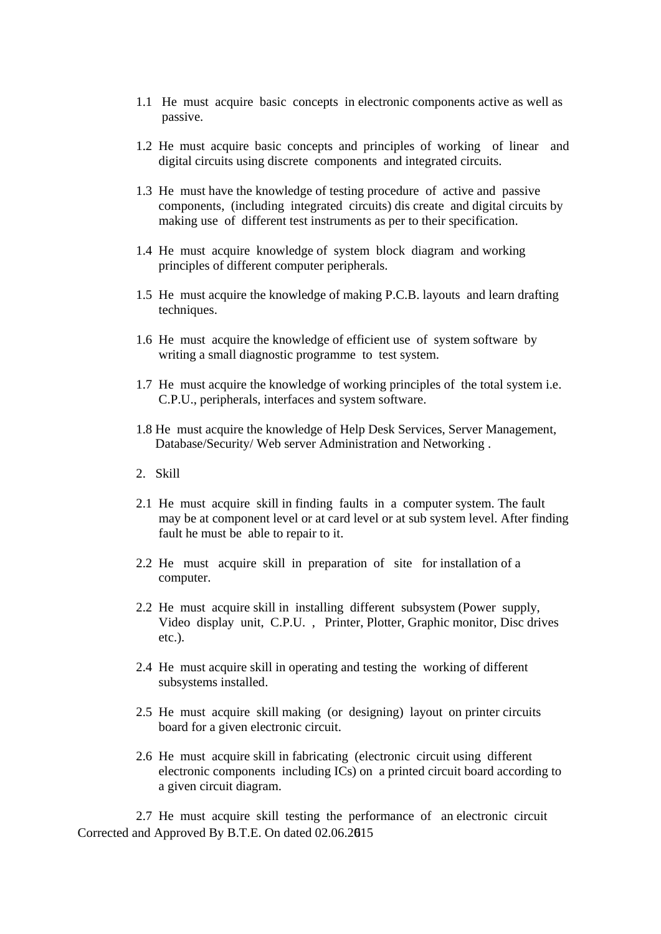- 1.1 He must acquire basic concepts in electronic components active as well as passive.
- 1.2 He must acquire basic concepts and principles of working of linear and digital circuits using discrete components and integrated circuits.
- 1.3 He must have the knowledge of testing procedure of active and passive components, (including integrated circuits) dis create and digital circuits by making use of different test instruments as per to their specification.
- 1.4 He must acquire knowledge of system block diagram and working principles of different computer peripherals.
- 1.5 He must acquire the knowledge of making P.C.B. layouts and learn drafting techniques.
- 1.6 He must acquire the knowledge of efficient use of system software by writing a small diagnostic programme to test system.
- 1.7 He must acquire the knowledge of working principles of the total system i.e. C.P.U., peripherals, interfaces and system software.
- 1.8 He must acquire the knowledge of Help Desk Services, Server Management, Database/Security/ Web server Administration and Networking .
- 2. Skill
- 2.1 He must acquire skill in finding faults in a computer system. The fault may be at component level or at card level or at sub system level. After finding fault he must be able to repair to it.
- 2.2 He must acquire skill in preparation of site for installation of a computer.
- 2.2 He must acquire skill in installing different subsystem (Power supply, Video display unit, C.P.U. , Printer, Plotter, Graphic monitor, Disc drives etc.).
- 2.4 He must acquire skill in operating and testing the working of different subsystems installed.
- 2.5 He must acquire skill making (or designing) layout on printer circuits board for a given electronic circuit.
- 2.6 He must acquire skill in fabricating (electronic circuit using different electronic components including ICs) on a printed circuit board according to a given circuit diagram.

Corrected and Approved By B.T.E. On dated 02.06.2015 6 2.7 He must acquire skill testing the performance of an electronic circuit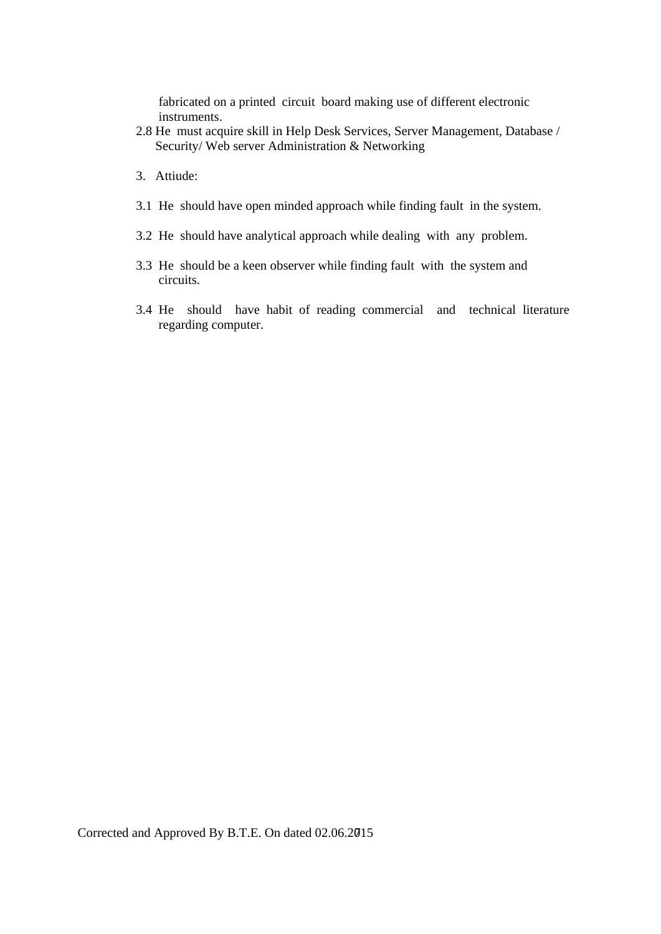fabricated on a printed circuit board making use of different electronic instruments.

- 2.8 He must acquire skill in Help Desk Services, Server Management, Database / Security/ Web server Administration & Networking
- 3. Attiude:
- 3.1 He should have open minded approach while finding fault in the system.
- 3.2 He should have analytical approach while dealing with any problem.
- 3.3 He should be a keen observer while finding fault with the system and circuits.
- 3.4 He should have habit of reading commercial and technical literature regarding computer.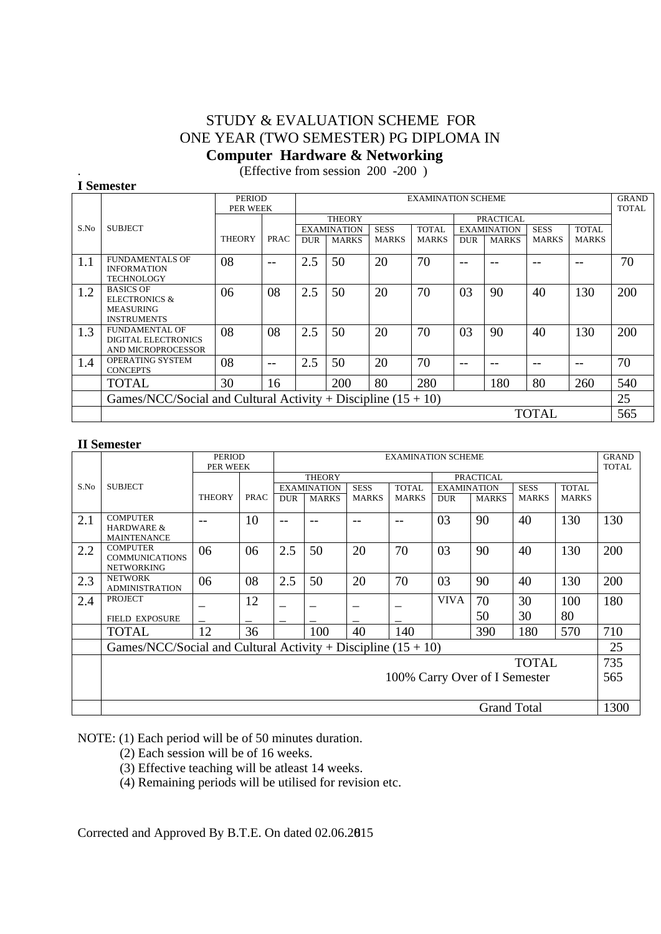## STUDY & EVALUATION SCHEME FOR ONE YEAR (TWO SEMESTER) PG DIPLOMA IN  **Computer Hardware & Networking**

. (Effective from session 200 -200 )

|      | (Effective from session $200 - 200$ )                                                  |                           |             |            |                           |              |              |            |                    |              |              |                       |
|------|----------------------------------------------------------------------------------------|---------------------------|-------------|------------|---------------------------|--------------|--------------|------------|--------------------|--------------|--------------|-----------------------|
|      | I Semester                                                                             |                           |             |            |                           |              |              |            |                    |              |              |                       |
|      |                                                                                        | <b>PERIOD</b><br>PER WEEK |             |            | <b>EXAMINATION SCHEME</b> |              |              |            |                    |              |              | <b>GRAND</b><br>TOTAL |
|      |                                                                                        |                           |             |            | <b>THEORY</b>             |              |              |            | <b>PRACTICAL</b>   |              |              |                       |
| S.No | <b>SUBJECT</b>                                                                         |                           |             |            | <b>EXAMINATION</b>        | <b>SESS</b>  | <b>TOTAL</b> |            | <b>EXAMINATION</b> | <b>SESS</b>  | <b>TOTAL</b> |                       |
|      |                                                                                        | <b>THEORY</b>             | <b>PRAC</b> | <b>DUR</b> | <b>MARKS</b>              | <b>MARKS</b> | <b>MARKS</b> | <b>DUR</b> | <b>MARKS</b>       | MARKS        | <b>MARKS</b> |                       |
| 1.1  | <b>FUNDAMENTALS OF</b><br><b>INFORMATION</b><br><b>TECHNOLOGY</b>                      | 08                        | $- -$       | 2.5        | 50                        | 20           | 70           | $- -$      | $- -$              | --           | --           | 70                    |
| 1.2  | <b>BASICS OF</b><br><b>ELECTRONICS &amp;</b><br><b>MEASURING</b><br><b>INSTRUMENTS</b> | 06                        | 08          | 2.5        | 50                        | 20           | 70           | 03         | 90                 | 40           | 130          | 200                   |
| 1.3  | <b>FUNDAMENTAL OF</b><br><b>DIGITAL ELECTRONICS</b><br>AND MICROPROCESSOR              | 08                        | 08          | 2.5        | 50                        | 20           | 70           | 03         | 90                 | 40           | 130          | 200                   |
| 1.4  | OPERATING SYSTEM<br><b>CONCEPTS</b>                                                    | 08                        | $- -$       | 2.5        | 50                        | 20           | 70           | $- -$      | --                 |              | --           | 70                    |
|      | TOTAL                                                                                  | 30                        | 16          |            | 200                       | 80           | 280          |            | 180                | 80           | 260          | 540                   |
|      | Games/NCC/Social and Cultural Activity + Discipline $(15 + 10)$                        |                           |             |            |                           |              |              |            |                    |              |              | 25                    |
|      |                                                                                        |                           |             |            |                           |              |              |            |                    | <b>TOTAL</b> |              | 565                   |

### **II Semester**

|      |                                                                 | <b>PERIOD</b> |             | <b>EXAMINATION SCHEME</b> |                    |              |              |                    |                    |              | <b>GRAND</b> |              |
|------|-----------------------------------------------------------------|---------------|-------------|---------------------------|--------------------|--------------|--------------|--------------------|--------------------|--------------|--------------|--------------|
|      |                                                                 |               | PER WEEK    |                           |                    |              |              |                    |                    |              |              | <b>TOTAL</b> |
|      |                                                                 |               |             |                           | <b>THEORY</b>      |              |              |                    | <b>PRACTICAL</b>   |              |              |              |
| S.No | <b>SUBJECT</b>                                                  |               |             |                           | <b>EXAMINATION</b> | <b>SESS</b>  | <b>TOTAL</b> | <b>EXAMINATION</b> |                    | <b>SESS</b>  | <b>TOTAL</b> |              |
|      |                                                                 | <b>THEORY</b> | <b>PRAC</b> | <b>DUR</b>                | <b>MARKS</b>       | <b>MARKS</b> | <b>MARKS</b> | <b>DUR</b>         | <b>MARKS</b>       | <b>MARKS</b> | <b>MARKS</b> |              |
|      | <b>COMPUTER</b>                                                 |               |             |                           |                    |              |              |                    |                    |              |              |              |
| 2.1  | <b>HARDWARE &amp;</b>                                           | --            | 10          | $- -$                     | --                 | --           | --           | 03                 | 90                 | 40           | 130          | 130          |
|      | <b>MAINTENANCE</b>                                              |               |             |                           |                    |              |              |                    |                    |              |              |              |
| 2.2  | <b>COMPUTER</b>                                                 | 06            | 06          | 2.5                       | 50                 | 20           | 70           | 03                 | 90                 | 40           | 130          | 200          |
|      | <b>COMMUNICATIONS</b>                                           |               |             |                           |                    |              |              |                    |                    |              |              |              |
|      | <b>NETWORKING</b>                                               |               |             |                           |                    |              |              |                    |                    |              |              |              |
| 2.3  | <b>NETWORK</b><br><b>ADMINISTRATION</b>                         | 06            | 08          | 2.5                       | 50                 | 20           | 70           | 03                 | 90                 | 40           | 130          | 200          |
|      | PROJECT                                                         |               |             |                           |                    |              |              |                    |                    |              |              |              |
| 2.4  |                                                                 |               | 12          |                           |                    |              |              | <b>VIVA</b>        | 70                 | 30           | 100          | 180          |
|      | <b>FIELD EXPOSURE</b>                                           |               |             |                           |                    |              |              |                    | 50                 | 30           | 80           |              |
|      | <b>TOTAL</b>                                                    | 12            | 36          |                           | 100                | 40           | 140          |                    | 390                | 180          | 570          | 710          |
|      | Games/NCC/Social and Cultural Activity + Discipline $(15 + 10)$ |               |             |                           |                    |              |              |                    |                    |              |              | 25           |
|      |                                                                 |               |             |                           |                    |              |              |                    |                    | <b>TOTAL</b> |              | 735          |
|      | 100% Carry Over of I Semester                                   |               |             |                           |                    |              |              | 565                |                    |              |              |              |
|      |                                                                 |               |             |                           |                    |              |              |                    |                    |              |              |              |
|      |                                                                 |               |             |                           |                    |              |              |                    | <b>Grand Total</b> |              |              | 1300         |
|      |                                                                 |               |             |                           |                    |              |              |                    |                    |              |              |              |

NOTE: (1) Each period will be of 50 minutes duration.

- (2) Each session will be of 16 weeks.
- (3) Effective teaching will be atleast 14 weeks.

(4) Remaining periods will be utilised for revision etc.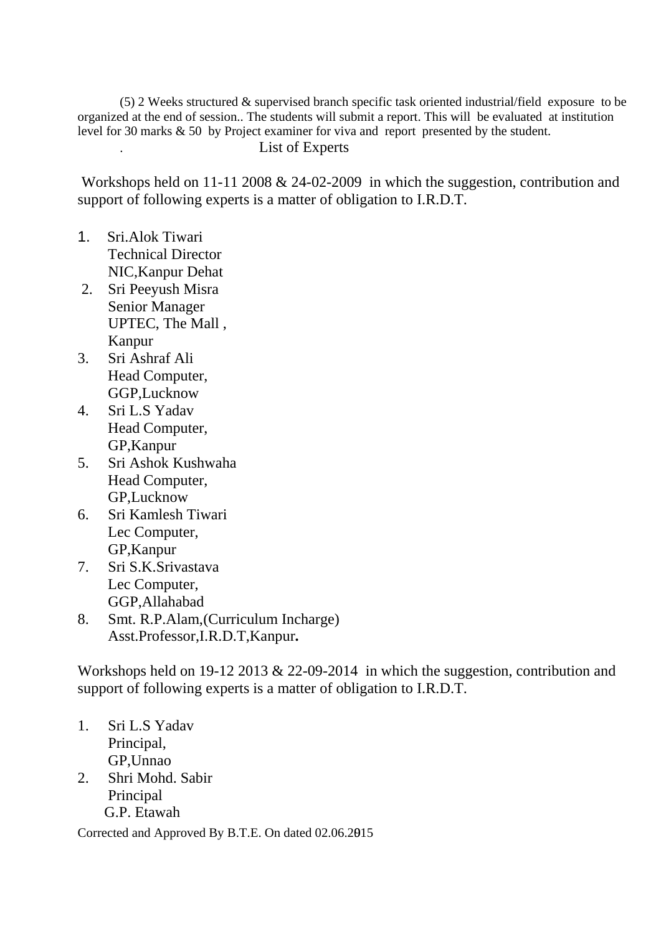(5) 2 Weeks structured & supervised branch specific task oriented industrial/field exposure to be organized at the end of session.. The students will submit a report. This will be evaluated at institution level for 30 marks & 50 by Project examiner for viva and report presented by the student.

## . List of Experts

 Workshops held on 11-11 2008 & 24-02-2009 in which the suggestion, contribution and support of following experts is a matter of obligation to I.R.D.T.

- 1. Sri.Alok Tiwari Technical Director NIC,Kanpur Dehat
- 2. Sri Peeyush Misra Senior Manager UPTEC, The Mall , Kanpur
- 3. Sri Ashraf Ali Head Computer, GGP,Lucknow
- 4. Sri L.S Yadav Head Computer, GP,Kanpur
- 5. Sri Ashok Kushwaha Head Computer, GP,Lucknow
- 6. Sri Kamlesh Tiwari Lec Computer, GP,Kanpur
- 7. Sri S.K.Srivastava Lec Computer, GGP,Allahabad
- 8. Smt. R.P.Alam,(Curriculum Incharge) Asst.Professor,I.R.D.T,Kanpur**.**

Workshops held on 19-12 2013 & 22-09-2014 in which the suggestion, contribution and support of following experts is a matter of obligation to I.R.D.T.

- 1. Sri L.S Yadav Principal, GP,Unnao
- 2. Shri Mohd. Sabir Principal G.P. Etawah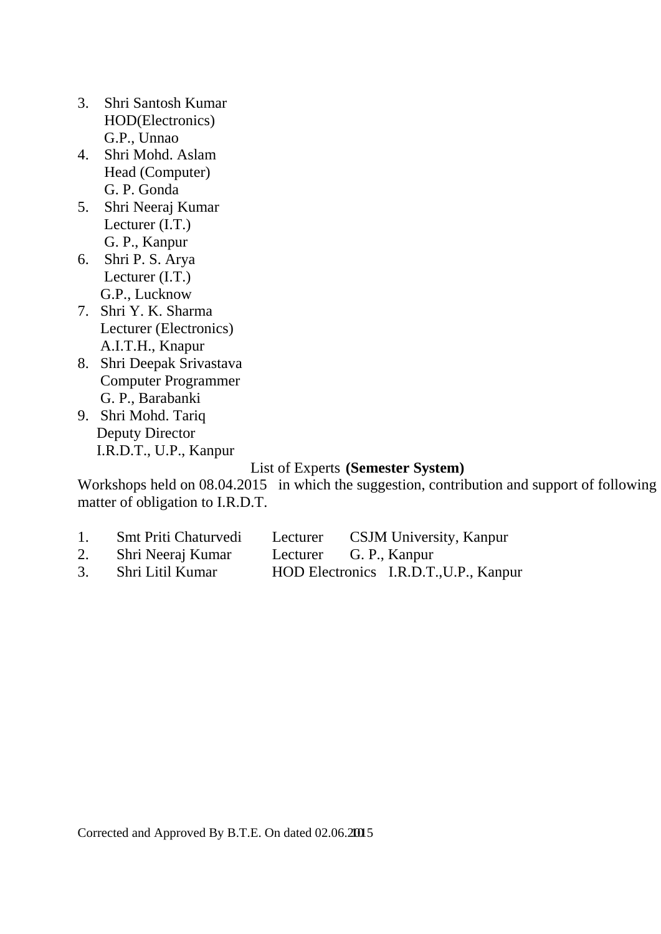- 3. Shri Santosh Kumar HOD(Electronics) G.P., Unnao
- 4. Shri Mohd. Aslam Head (Computer) G. P. Gonda
- 5. Shri Neeraj Kumar Lecturer (I.T.) G. P., Kanpur
- 6. Shri P. S. Arya Lecturer (I.T.) G.P., Lucknow
- 7. Shri Y. K. Sharma Lecturer (Electronics) A.I.T.H., Knapur
- 8. Shri Deepak Srivastava Computer Programmer G. P., Barabanki
- 9. Shri Mohd. Tariq Deputy Director I.R.D.T., U.P., Kanpur

## List of Experts **(Semester System)**

Workshops held on 08.04.2015 in which the suggestion, contribution and support of following matter of obligation to I.R.D.T.

- 1. Smt Priti Chaturvedi Lecturer CSJM University, Kanpur<br>2. Shri Neeraj Kumar Lecturer G. P., Kanpur
- 2. Shri Neeraj Kumar Lecturer
- 3. Shri Litil Kumar HOD Electronics I.R.D.T.,U.P., Kanpur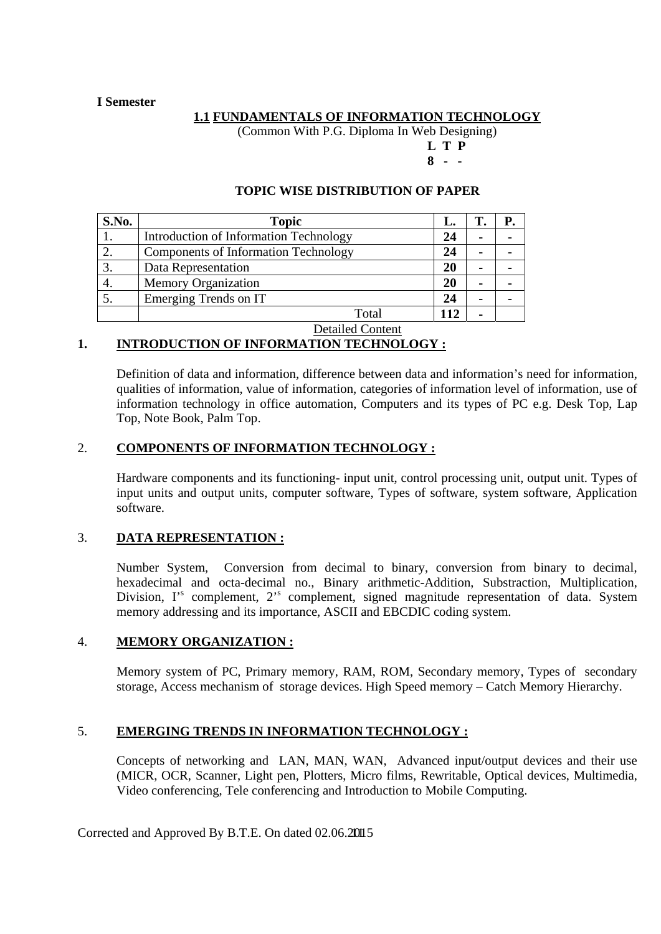### **I Semester**

### **1.1 FUNDAMENTALS OF INFORMATION TECHNOLOGY**

(Common With P.G. Diploma In Web Designing)

**L T P 8 - -** 

### **TOPIC WISE DISTRIBUTION OF PAPER**

| S.No. | <b>Topic</b>                                                     | L.  |  |
|-------|------------------------------------------------------------------|-----|--|
|       | Introduction of Information Technology                           | 24  |  |
|       | <b>Components of Information Technology</b>                      | 24  |  |
| 3.    | Data Representation                                              | 20  |  |
|       | <b>Memory Organization</b>                                       | 20  |  |
|       | Emerging Trends on IT                                            | 24  |  |
|       | Total                                                            | 112 |  |
|       | $\mathbf{D}$ $\mathbf{I}$ $\mathbf{I}$ $\mathbf{A}$ $\mathbf{I}$ |     |  |

### Detailed Content

## **1. INTRODUCTION OF INFORMATION TECHNOLOGY :**

 Definition of data and information, difference between data and information's need for information, qualities of information, value of information, categories of information level of information, use of information technology in office automation, Computers and its types of PC e.g. Desk Top, Lap Top, Note Book, Palm Top.

### 2. **COMPONENTS OF INFORMATION TECHNOLOGY :**

 Hardware components and its functioning- input unit, control processing unit, output unit. Types of input units and output units, computer software, Types of software, system software, Application software.

### 3. **DATA REPRESENTATION :**

Number System, Conversion from decimal to binary, conversion from binary to decimal, hexadecimal and octa-decimal no., Binary arithmetic-Addition, Substraction, Multiplication, Division, I'<sup>s</sup> complement, 2<sup>'s</sup> complement, signed magnitude representation of data. System memory addressing and its importance, ASCII and EBCDIC coding system.

### 4. **MEMORY ORGANIZATION :**

Memory system of PC, Primary memory, RAM, ROM, Secondary memory, Types of secondary storage, Access mechanism of storage devices. High Speed memory – Catch Memory Hierarchy.

## 5. **EMERGING TRENDS IN INFORMATION TECHNOLOGY :**

Concepts of networking and LAN, MAN, WAN, Advanced input/output devices and their use (MICR, OCR, Scanner, Light pen, Plotters, Micro films, Rewritable, Optical devices, Multimedia, Video conferencing, Tele conferencing and Introduction to Mobile Computing.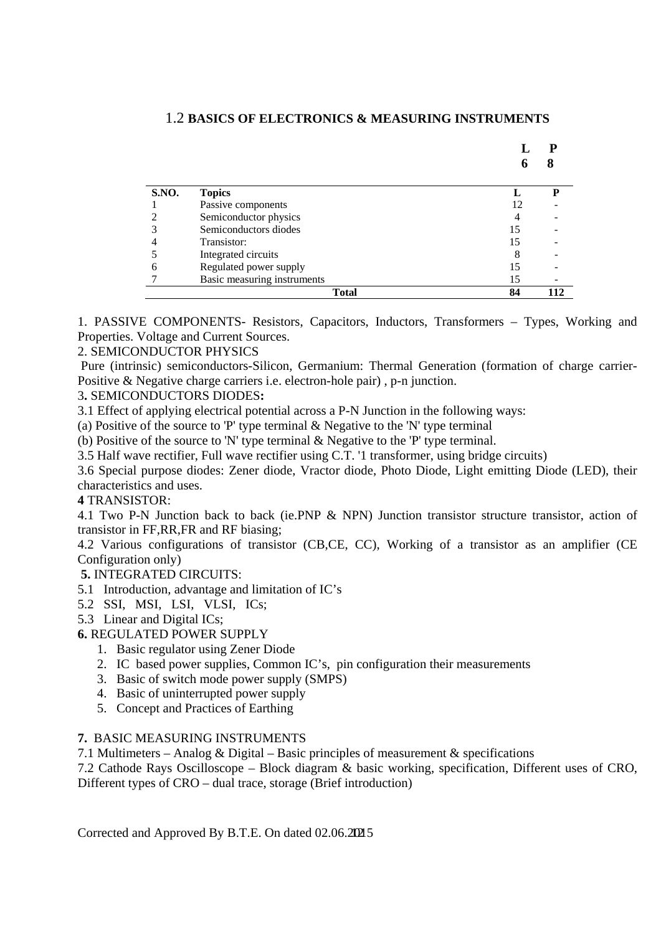|       |                             |    | 8   |
|-------|-----------------------------|----|-----|
| S.NO. | <b>Topics</b>               |    | D   |
|       | Passive components          | 12 |     |
|       | Semiconductor physics       |    |     |
|       | Semiconductors diodes       | 15 |     |
|       | Transistor:                 | 15 |     |
|       | Integrated circuits         | ◠  |     |
|       | Regulated power supply      | 15 |     |
|       | Basic measuring instruments | 15 |     |
|       | <b>Total</b>                | 84 | 112 |

### 1.2 **BASICS OF ELECTRONICS & MEASURING INSTRUMENTS**

1. PASSIVE COMPONENTS- Resistors, Capacitors, Inductors, Transformers – Types, Working and Properties. Voltage and Current Sources.

### 2. SEMICONDUCTOR PHYSICS

 Pure (intrinsic) semiconductors-Silicon, Germanium: Thermal Generation (formation of charge carrier-Positive & Negative charge carriers i.e. electron-hole pair) , p-n junction.

### 3**.** SEMICONDUCTORS DIODES**:**

3.1 Effect of applying electrical potential across a P-N Junction in the following ways:

(a) Positive of the source to 'P' type terminal & Negative to the 'N' type terminal

(b) Positive of the source to 'N' type terminal & Negative to the 'P' type terminal.

3.5 Half wave rectifier, Full wave rectifier using C.T. '1 transformer, using bridge circuits)

3.6 Special purpose diodes: Zener diode, Vractor diode, Photo Diode, Light emitting Diode (LED), their characteristics and uses.

### **4** TRANSISTOR:

4.1 Two P-N Junction back to back (ie.PNP & NPN) Junction transistor structure transistor, action of transistor in FF,RR,FR and RF biasing;

4.2 Various configurations of transistor (CB,CE, CC), Working of a transistor as an amplifier (CE Configuration only)

**5.** INTEGRATED CIRCUITS:

- 5.1 Introduction, advantage and limitation of IC's
- 5.2 SSI, MSI, LSI, VLSI, ICs;

5.3 Linear and Digital ICs;

## **6.** REGULATED POWER SUPPLY

- 1. Basic regulator using Zener Diode
- 2. IC based power supplies, Common IC's, pin configuration their measurements
- 3. Basic of switch mode power supply (SMPS)
- 4. Basic of uninterrupted power supply
- 5. Concept and Practices of Earthing

### **7.** BASIC MEASURING INSTRUMENTS

7.1 Multimeters – Analog & Digital – Basic principles of measurement & specifications

7.2 Cathode Rays Oscilloscope – Block diagram & basic working, specification, Different uses of CRO, Different types of CRO – dual trace, storage (Brief introduction)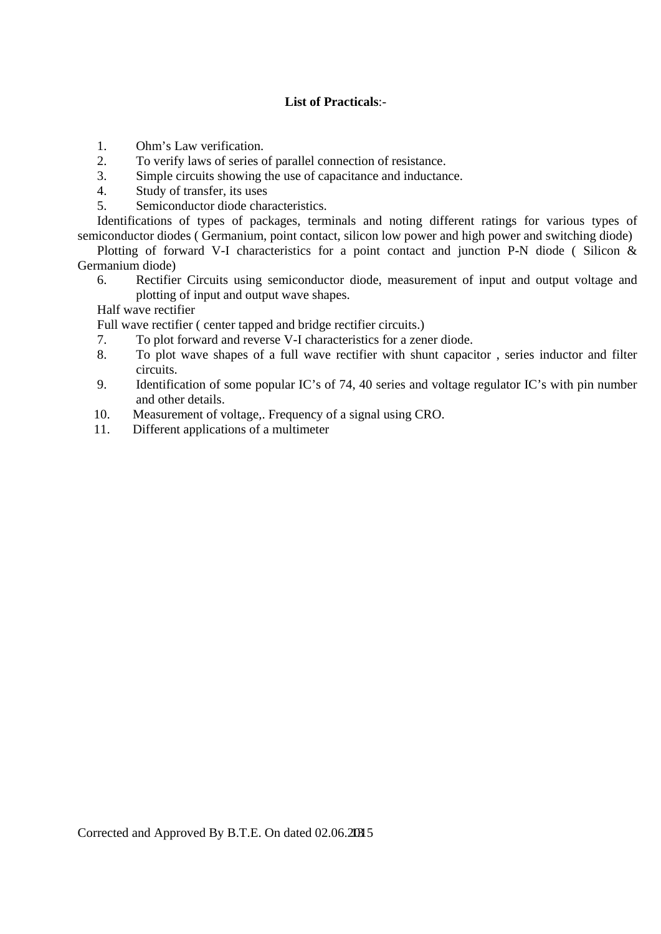## **List of Practicals**:-

- 1. Ohm's Law verification.
- 2. To verify laws of series of parallel connection of resistance.
- 3. Simple circuits showing the use of capacitance and inductance.
- 4. Study of transfer, its uses
- 5. Semiconductor diode characteristics.

Identifications of types of packages, terminals and noting different ratings for various types of semiconductor diodes ( Germanium, point contact, silicon low power and high power and switching diode)

Plotting of forward V-I characteristics for a point contact and junction P-N diode (Silicon & Germanium diode)

6. Rectifier Circuits using semiconductor diode, measurement of input and output voltage and plotting of input and output wave shapes.

Half wave rectifier

Full wave rectifier ( center tapped and bridge rectifier circuits.)

- 7. To plot forward and reverse V-I characteristics for a zener diode.
- 8. To plot wave shapes of a full wave rectifier with shunt capacitor , series inductor and filter circuits.
- 9. Identification of some popular IC's of 74, 40 series and voltage regulator IC's with pin number and other details.
- 10. Measurement of voltage,. Frequency of a signal using CRO.
- 11. Different applications of a multimeter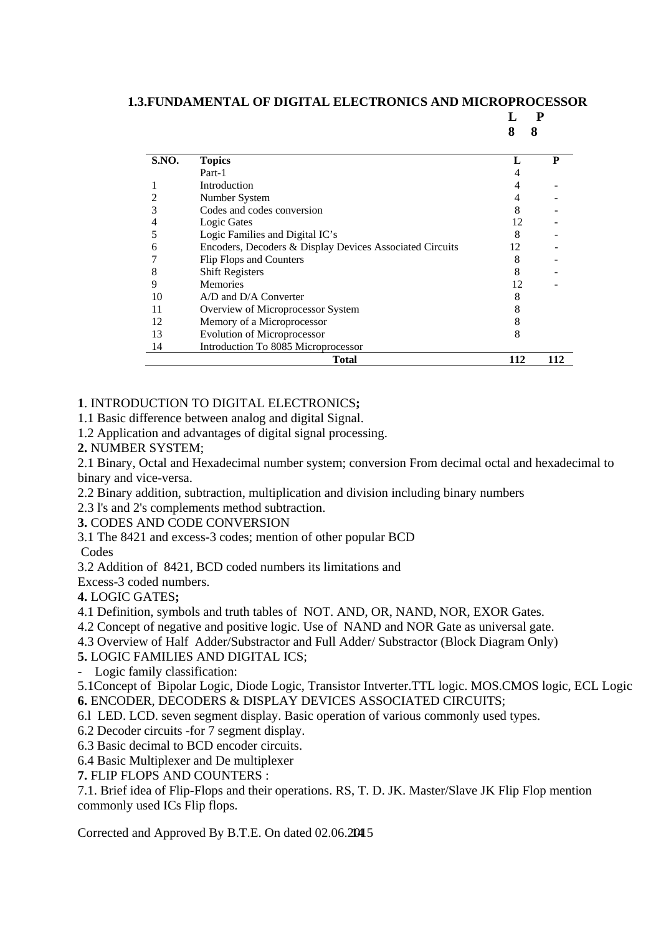### **1.3.FUNDAMENTAL OF DIGITAL ELECTRONICS AND MICROPROCESSOR**

**L P** 

 **8 8** 

| <b>S.NO.</b> | <b>Topics</b>                                            |     | P   |
|--------------|----------------------------------------------------------|-----|-----|
|              | Part-1                                                   |     |     |
|              | <b>Introduction</b>                                      |     |     |
|              | Number System                                            |     |     |
|              | Codes and codes conversion                               |     |     |
|              | Logic Gates                                              | 12  |     |
|              | Logic Families and Digital IC's                          | 8   |     |
|              | Encoders, Decoders & Display Devices Associated Circuits | 12  |     |
|              | Flip Flops and Counters                                  |     |     |
|              | <b>Shift Registers</b>                                   |     |     |
|              | <b>Memories</b>                                          | 12  |     |
| 10           | A/D and D/A Converter                                    |     |     |
|              | Overview of Microprocessor System                        |     |     |
| 12           | Memory of a Microprocessor                               |     |     |
| 13           | <b>Evolution of Microprocessor</b>                       |     |     |
| 14           | Introduction To 8085 Microprocessor                      |     |     |
|              | Total                                                    | 112 | 112 |

## **1**. INTRODUCTION TO DIGITAL ELECTRONICS**;**

1.1 Basic difference between analog and digital Signal.

- 1.2 Application and advantages of digital signal processing.
- **2.** NUMBER SYSTEM;

2.1 Binary, Octal and Hexadecimal number system; conversion From decimal octal and hexadecimal to binary and vice-versa.

2.2 Binary addition, subtraction, multiplication and division including binary numbers

2.3 l's and 2's complements method subtraction.

**3.** CODES AND CODE CONVERSION

3.1 The 8421 and excess-3 codes; mention of other popular BCD

Codes

3.2 Addition of 8421, BCD coded numbers its limitations and

Excess-3 coded numbers.

**4.** LOGIC GATES**;** 

4.1 Definition, symbols and truth tables of NOT. AND, OR, NAND, NOR, EXOR Gates.

4.2 Concept of negative and positive logic. Use of NAND and NOR Gate as universal gate.

4.3 Overview of Half Adder/Substractor and Full Adder/ Substractor (Block Diagram Only)

**5.** LOGIC FAMILIES AND DIGITAL ICS;

Logic family classification:

5.1Concept of Bipolar Logic, Diode Logic, Transistor Intverter.TTL logic. MOS.CMOS logic, ECL Logic **6.** ENCODER, DECODERS & DISPLAY DEVICES ASSOCIATED CIRCUITS;

- 6.l LED. LCD. seven segment display. Basic operation of various commonly used types.
- 6.2 Decoder circuits -for 7 segment display.
- 6.3 Basic decimal to BCD encoder circuits.

6.4 Basic Multiplexer and De multiplexer

**7.** FLIP FLOPS AND COUNTERS :

7.1. Brief idea of Flip-Flops and their operations. RS, T. D. JK. Master/Slave JK Flip Flop mention commonly used ICs Flip flops.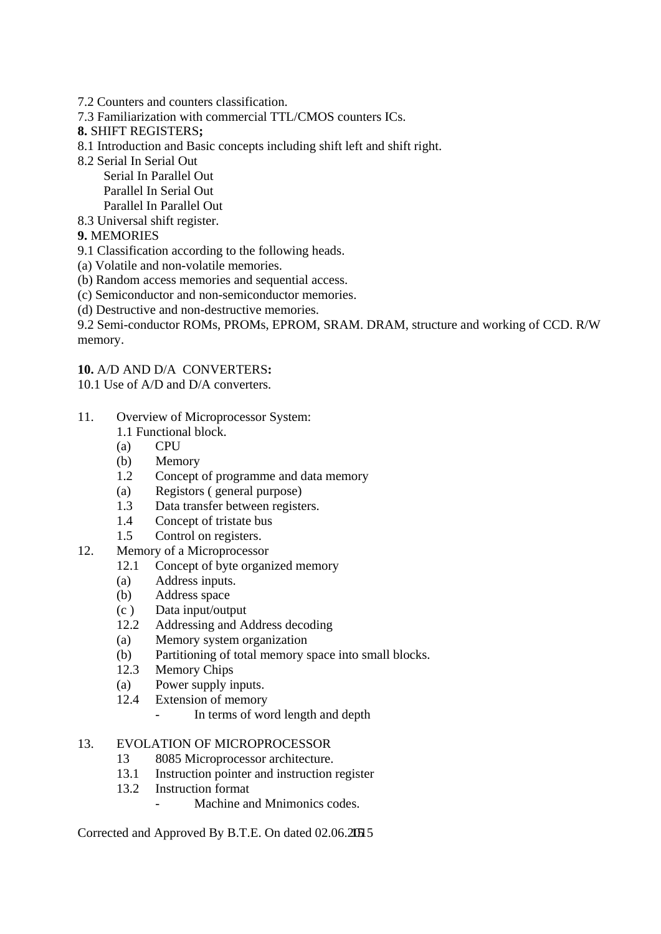- 7.2 Counters and counters classification.
- 7.3 Familiarization with commercial TTL/CMOS counters ICs.
- **8.** SHIFT REGISTERS**;**
- 8.1 Introduction and Basic concepts including shift left and shift right.
- 8.2 Serial In Serial Out

 Serial In Parallel Out Parallel In Serial Out

 Parallel In Parallel Out 8.3 Universal shift register.

# **9.** MEMORIES

9.1 Classification according to the following heads.

(a) Volatile and non-volatile memories.

(b) Random access memories and sequential access.

- (c) Semiconductor and non-semiconductor memories.
- (d) Destructive and non-destructive memories.

9.2 Semi-conductor ROMs, PROMs, EPROM, SRAM. DRAM, structure and working of CCD. R/W memory.

### **10.** A/D AND D/A CONVERTERS**:**

10.1 Use of A/D and D/A converters.

- 11. Overview of Microprocessor System:
	- 1.1 Functional block.
	- (a) CPU
	- (b) Memory
	- 1.2 Concept of programme and data memory
	- (a) Registors ( general purpose)
	- 1.3 Data transfer between registers.
	- 1.4 Concept of tristate bus
	- 1.5 Control on registers.
- 12. Memory of a Microprocessor
	- 12.1 Concept of byte organized memory
	- (a) Address inputs.
	- (b) Address space
	- (c ) Data input/output
	- 12.2 Addressing and Address decoding
	- (a) Memory system organization
	- (b) Partitioning of total memory space into small blocks.
	- 12.3 Memory Chips
	- (a) Power supply inputs.
	- 12.4 Extension of memory
		- In terms of word length and depth

### 13. EVOLATION OF MICROPROCESSOR

- 13 8085 Microprocessor architecture.
- 13.1 Instruction pointer and instruction register
- 13.2 Instruction format
	- Machine and Mnimonics codes.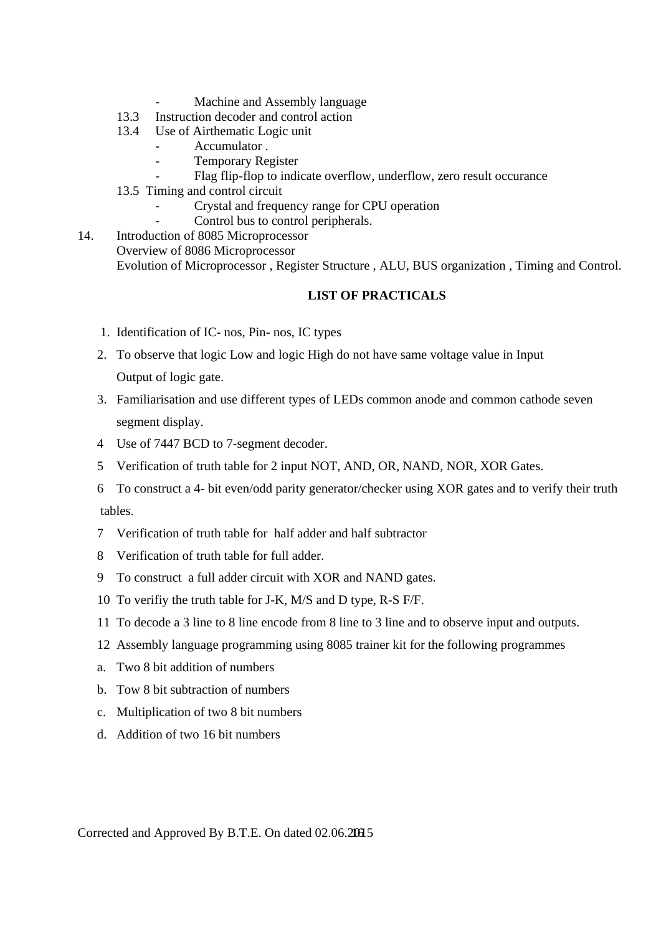- Machine and Assembly language
- 13.3 Instruction decoder and control action
- 13.4 Use of Airthematic Logic unit
	- Accumulator.
	- Temporary Register
	- Flag flip-flop to indicate overflow, underflow, zero result occurance
- 13.5 Timing and control circuit
	- Crystal and frequency range for CPU operation
	- Control bus to control peripherals.
- 14. Introduction of 8085 Microprocessor Overview of 8086 Microprocessor Evolution of Microprocessor , Register Structure , ALU, BUS organization , Timing and Control.

## **LIST OF PRACTICALS**

- 1. Identification of IC- nos, Pin- nos, IC types
- 2. To observe that logic Low and logic High do not have same voltage value in Input Output of logic gate.
- 3. Familiarisation and use different types of LEDs common anode and common cathode seven segment display.
- 4 Use of 7447 BCD to 7-segment decoder.
- 5 Verification of truth table for 2 input NOT, AND, OR, NAND, NOR, XOR Gates.
- 6 To construct a 4- bit even/odd parity generator/checker using XOR gates and to verify their truth tables.
- 7 Verification of truth table for half adder and half subtractor
- 8 Verification of truth table for full adder.
- 9 To construct a full adder circuit with XOR and NAND gates.
- 10 To verifiy the truth table for J-K, M/S and D type, R-S F/F.
- 11 To decode a 3 line to 8 line encode from 8 line to 3 line and to observe input and outputs.
- 12 Assembly language programming using 8085 trainer kit for the following programmes
- a. Two 8 bit addition of numbers
- b. Tow 8 bit subtraction of numbers
- c. Multiplication of two 8 bit numbers
- d. Addition of two 16 bit numbers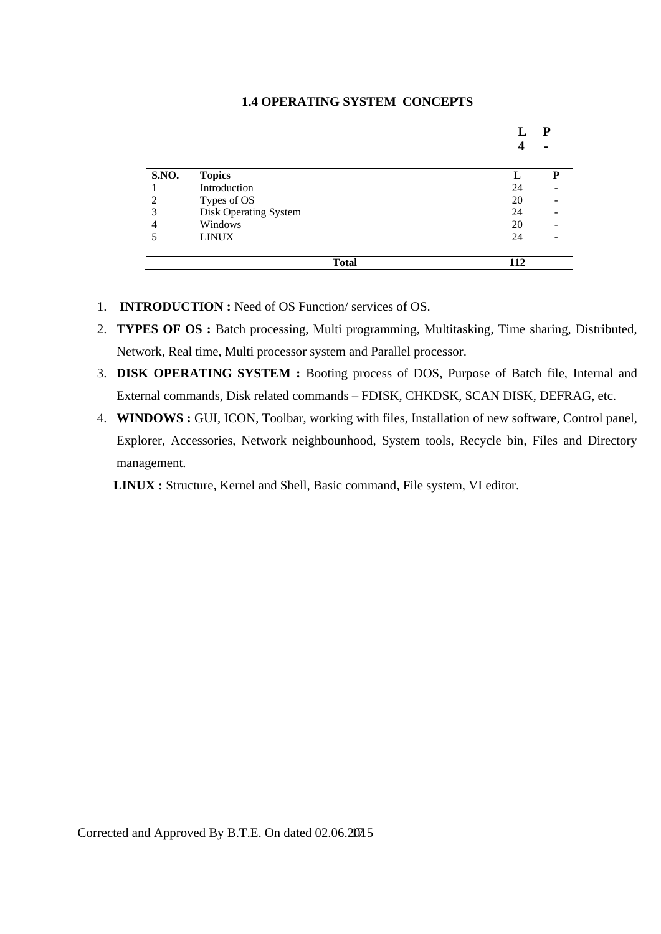### **1.4 OPERATING SYSTEM CONCEPTS**

| <b>S.NO.</b> | <b>Topics</b>         |    |  |
|--------------|-----------------------|----|--|
|              | Introduction          | 24 |  |
| 2            | Types of OS           | 20 |  |
| 3            | Disk Operating System | 24 |  |
| 4            | Windows               | 20 |  |
| 5            | <b>LINUX</b>          | 24 |  |

- 1. **INTRODUCTION :** Need of OS Function/ services of OS.
- 2. **TYPES OF OS :** Batch processing, Multi programming, Multitasking, Time sharing, Distributed, Network, Real time, Multi processor system and Parallel processor.
- 3. **DISK OPERATING SYSTEM :** Booting process of DOS, Purpose of Batch file, Internal and External commands, Disk related commands – FDISK, CHKDSK, SCAN DISK, DEFRAG, etc.
- 4. **WINDOWS :** GUI, ICON, Toolbar, working with files, Installation of new software, Control panel, Explorer, Accessories, Network neighbounhood, System tools, Recycle bin, Files and Directory management.

 **LINUX :** Structure, Kernel and Shell, Basic command, File system, VI editor.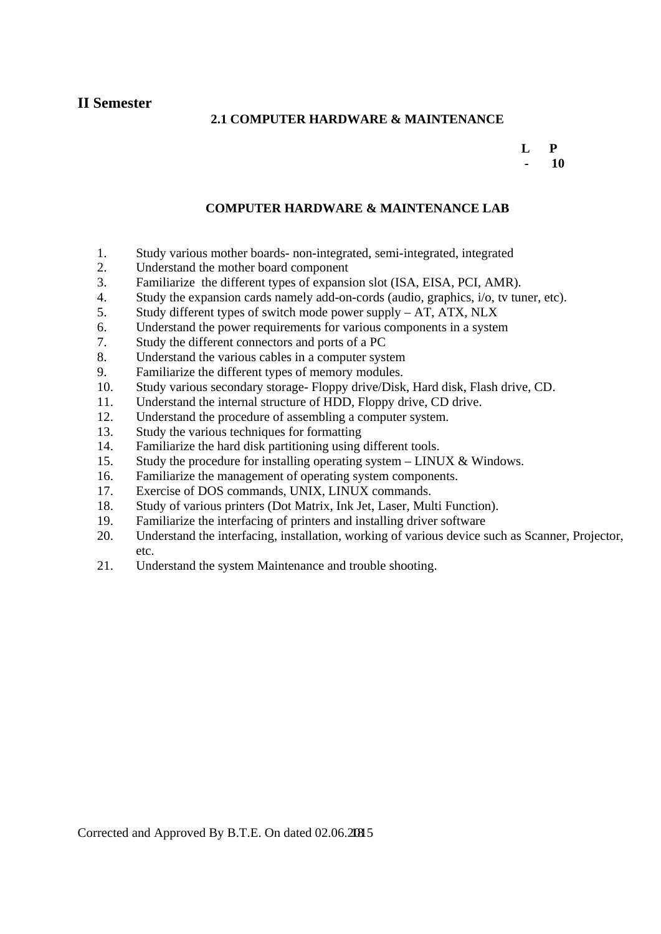**II Semester** 

### **2.1 COMPUTER HARDWARE & MAINTENANCE**

### **L P 10**

### **COMPUTER HARDWARE & MAINTENANCE LAB**

- 1. Study various mother boards- non-integrated, semi-integrated, integrated
- 2. Understand the mother board component
- 3. Familiarize the different types of expansion slot (ISA, EISA, PCI, AMR).
- 4. Study the expansion cards namely add-on-cords (audio, graphics, i/o, tv tuner, etc).
- 5. Study different types of switch mode power supply AT, ATX, NLX
- 6. Understand the power requirements for various components in a system
- 7. Study the different connectors and ports of a PC
- 8. Understand the various cables in a computer system
- 9. Familiarize the different types of memory modules.
- 10. Study various secondary storage- Floppy drive/Disk, Hard disk, Flash drive, CD.
- 11. Understand the internal structure of HDD, Floppy drive, CD drive.
- 12. Understand the procedure of assembling a computer system.
- 13. Study the various techniques for formatting
- 14. Familiarize the hard disk partitioning using different tools.
- 15. Study the procedure for installing operating system LINUX & Windows.
- 16. Familiarize the management of operating system components.
- 17. Exercise of DOS commands, UNIX, LINUX commands.
- 18. Study of various printers (Dot Matrix, Ink Jet, Laser, Multi Function).
- 19. Familiarize the interfacing of printers and installing driver software
- 20. Understand the interfacing, installation, working of various device such as Scanner, Projector, etc.
- 21. Understand the system Maintenance and trouble shooting.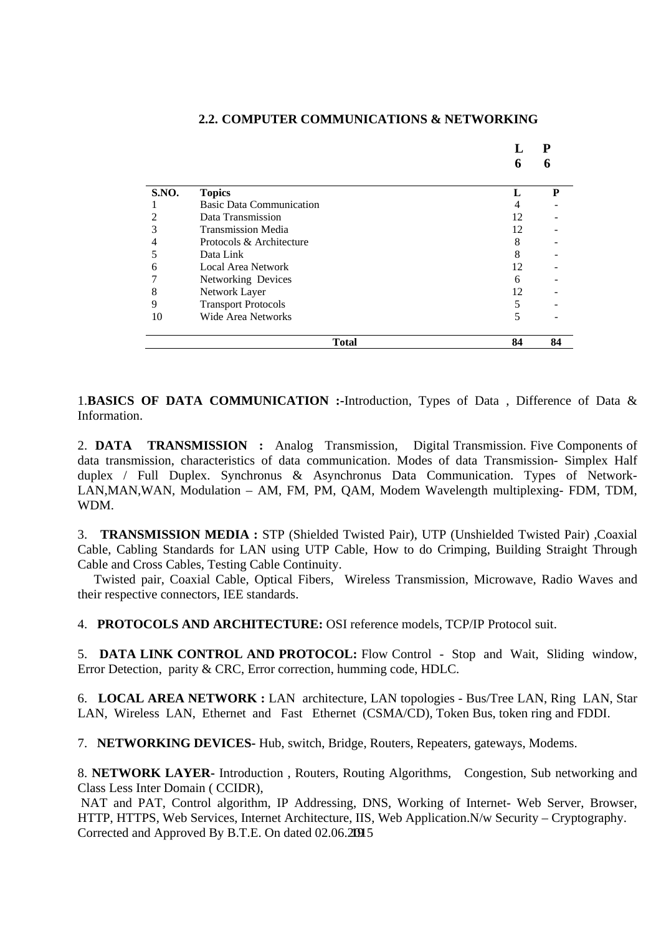|       |                                 |    | D  |
|-------|---------------------------------|----|----|
|       |                                 | 6  |    |
| S.NO. | <b>Topics</b>                   |    | P  |
|       | <b>Basic Data Communication</b> | 4  |    |
| 2     | Data Transmission               | 12 |    |
| 3     | <b>Transmission Media</b>       | 12 |    |
| 4     | Protocols & Architecture        | 8  |    |
| 5     | Data Link                       | 8  |    |
| 6     | <b>Local Area Network</b>       | 12 |    |
|       | Networking Devices              | 6  |    |
| 8     | Network Layer                   | 12 |    |
| 9     | <b>Transport Protocols</b>      | 5  |    |
| 10    | <b>Wide Area Networks</b>       | 5  |    |
|       | <b>Total</b>                    | 84 | 84 |

### **2.2. COMPUTER COMMUNICATIONS & NETWORKING**

1.**BASICS OF DATA COMMUNICATION :-**Introduction, Types of Data , Difference of Data & Information.

2. **DATA TRANSMISSION :** Analog Transmission, Digital Transmission. Five Components of data transmission, characteristics of data communication. Modes of data Transmission- Simplex Half duplex / Full Duplex. Synchronus & Asynchronus Data Communication. Types of Network-LAN,MAN,WAN, Modulation – AM, FM, PM, QAM, Modem Wavelength multiplexing- FDM, TDM, WDM.

3. **TRANSMISSION MEDIA :** STP (Shielded Twisted Pair), UTP (Unshielded Twisted Pair) ,Coaxial Cable, Cabling Standards for LAN using UTP Cable, How to do Crimping, Building Straight Through Cable and Cross Cables, Testing Cable Continuity.

 Twisted pair, Coaxial Cable, Optical Fibers, Wireless Transmission, Microwave, Radio Waves and their respective connectors, IEE standards.

4. **PROTOCOLS AND ARCHITECTURE:** OSI reference models, TCP/IP Protocol suit.

5. **DATA LINK CONTROL AND PROTOCOL:** Flow Control - Stop and Wait, Sliding window, Error Detection, parity & CRC, Error correction, humming code, HDLC.

6. **LOCAL AREA NETWORK :** LAN architecture, LAN topologies - Bus/Tree LAN, Ring LAN, Star LAN, Wireless LAN, Ethernet and Fast Ethernet (CSMA/CD), Token Bus, token ring and FDDI.

7. **NETWORKING DEVICES-** Hub, switch, Bridge, Routers, Repeaters, gateways, Modems.

8. **NETWORK LAYER-** Introduction , Routers, Routing Algorithms, Congestion, Sub networking and Class Less Inter Domain ( CCIDR),

Corrected and Approved By B.T.E. On dated 02.06.20015 NAT and PAT, Control algorithm, IP Addressing, DNS, Working of Internet- Web Server, Browser, HTTP, HTTPS, Web Services, Internet Architecture, IIS, Web Application.N/w Security – Cryptography.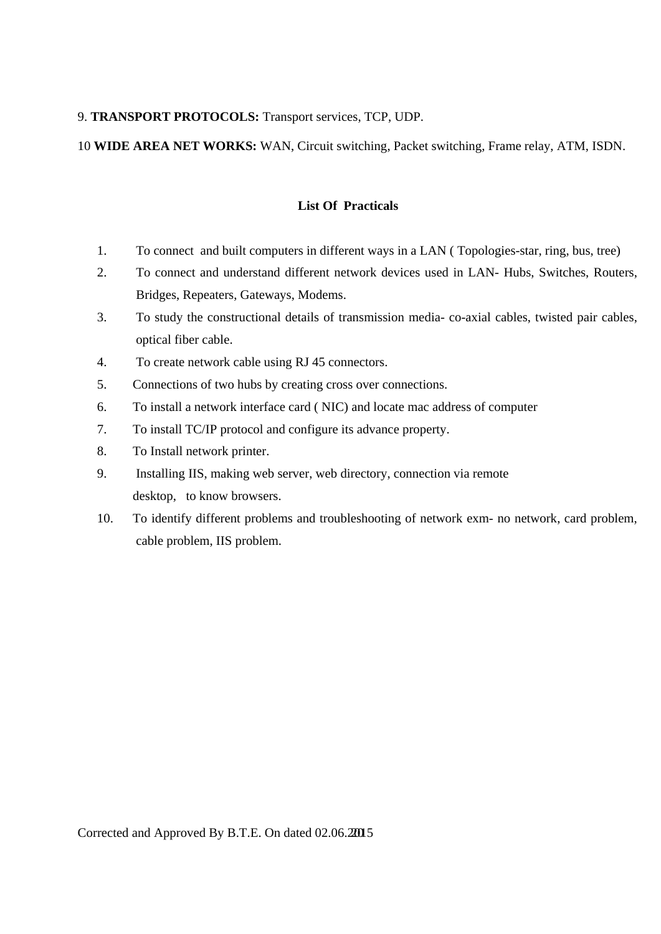### 9. **TRANSPORT PROTOCOLS:** Transport services, TCP, UDP.

## 10 **WIDE AREA NET WORKS:** WAN, Circuit switching, Packet switching, Frame relay, ATM, ISDN.

### **List Of Practicals**

- 1. To connect and built computers in different ways in a LAN ( Topologies-star, ring, bus, tree)
- 2. To connect and understand different network devices used in LAN- Hubs, Switches, Routers, Bridges, Repeaters, Gateways, Modems.
- 3. To study the constructional details of transmission media- co-axial cables, twisted pair cables, optical fiber cable.
- 4. To create network cable using RJ 45 connectors.
- 5. Connections of two hubs by creating cross over connections.
- 6. To install a network interface card ( NIC) and locate mac address of computer
- 7. To install TC/IP protocol and configure its advance property.
- 8. To Install network printer.
- 9. Installing IIS, making web server, web directory, connection via remote desktop, to know browsers.
- 10. To identify different problems and troubleshooting of network exm- no network, card problem, cable problem, IIS problem.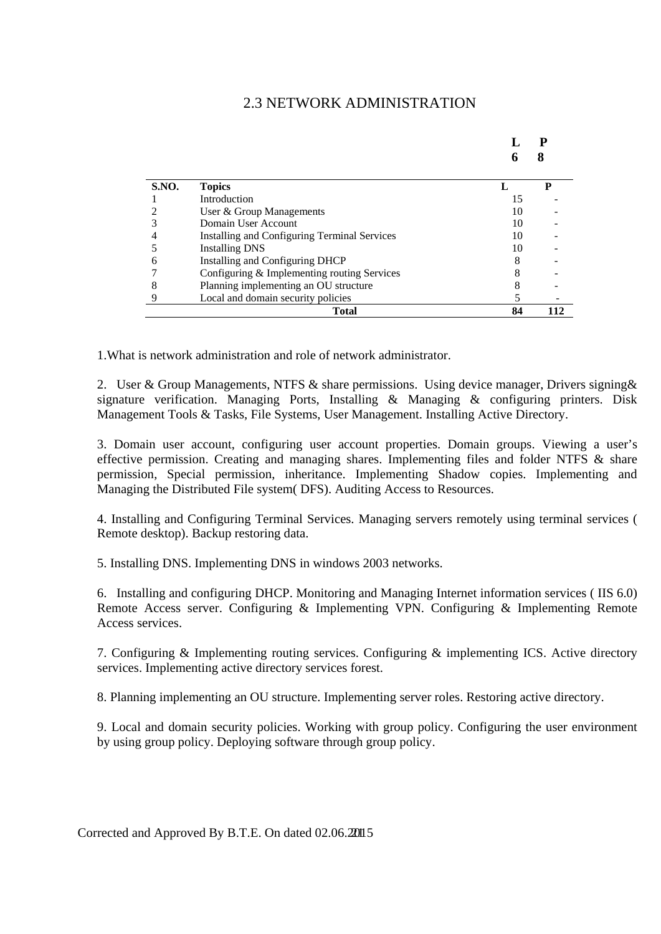## 2.3 NETWORK ADMINISTRATION

**L P** 

| <b>S.NO.</b> | <b>Topics</b>                                |    | D   |
|--------------|----------------------------------------------|----|-----|
|              | Introduction                                 | 15 |     |
|              | User & Group Managements                     | 10 |     |
|              | Domain User Account                          | 10 |     |
| 4            | Installing and Configuring Terminal Services | 10 |     |
|              | <b>Installing DNS</b>                        | 10 |     |
| 6            | Installing and Configuring DHCP              | δ  |     |
|              | Configuring & Implementing routing Services  |    |     |
|              | Planning implementing an OU structure        |    |     |
|              | Local and domain security policies           |    |     |
|              | <b>Total</b>                                 | 84 | 112 |

1.What is network administration and role of network administrator.

2. User & Group Managements, NTFS  $\&$  share permissions. Using device manager, Drivers signing  $\&$ signature verification. Managing Ports, Installing & Managing & configuring printers. Disk Management Tools & Tasks, File Systems, User Management. Installing Active Directory.

3. Domain user account, configuring user account properties. Domain groups. Viewing a user's effective permission. Creating and managing shares. Implementing files and folder NTFS & share permission, Special permission, inheritance. Implementing Shadow copies. Implementing and Managing the Distributed File system( DFS). Auditing Access to Resources.

4. Installing and Configuring Terminal Services. Managing servers remotely using terminal services ( Remote desktop). Backup restoring data.

5. Installing DNS. Implementing DNS in windows 2003 networks.

6. Installing and configuring DHCP. Monitoring and Managing Internet information services ( IIS 6.0) Remote Access server. Configuring & Implementing VPN. Configuring & Implementing Remote Access services.

7. Configuring & Implementing routing services. Configuring & implementing ICS. Active directory services. Implementing active directory services forest.

8. Planning implementing an OU structure. Implementing server roles. Restoring active directory.

9. Local and domain security policies. Working with group policy. Configuring the user environment by using group policy. Deploying software through group policy.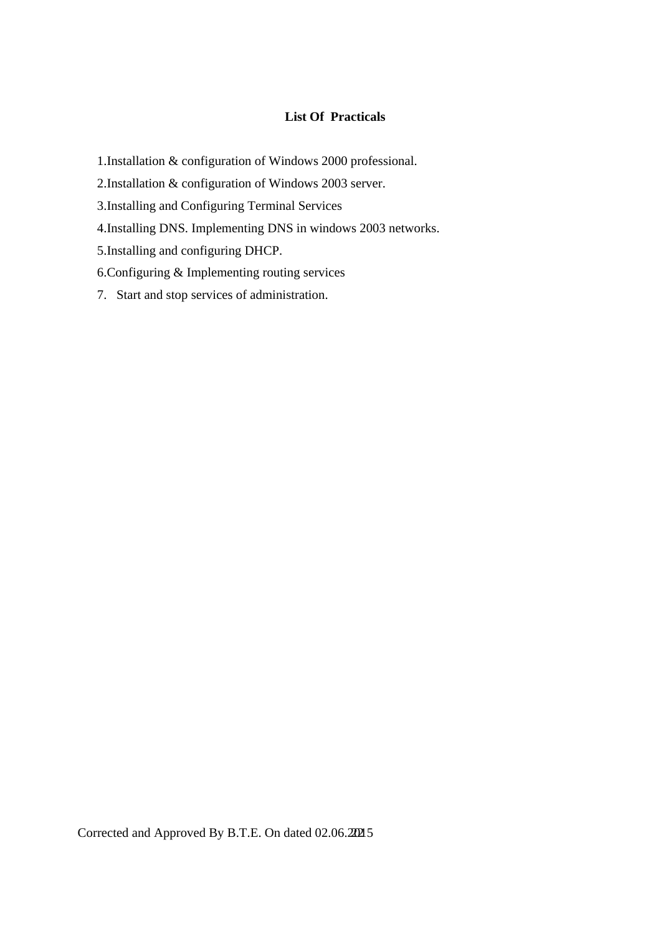## **List Of Practicals**

1.Installation & configuration of Windows 2000 professional.

2.Installation & configuration of Windows 2003 server.

3.Installing and Configuring Terminal Services

4.Installing DNS. Implementing DNS in windows 2003 networks.

5.Installing and configuring DHCP.

6.Configuring & Implementing routing services

7. Start and stop services of administration.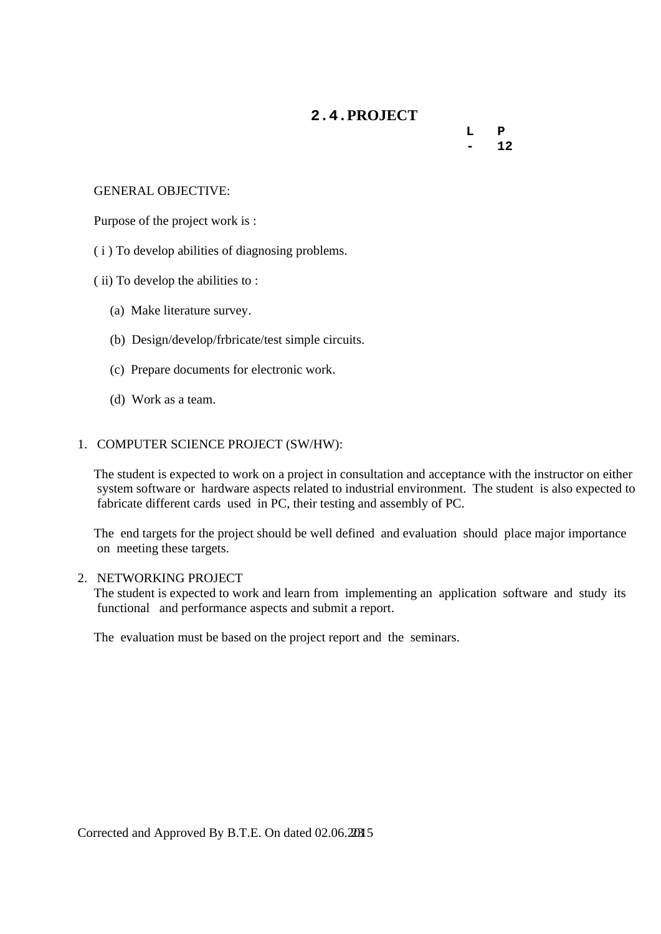## **2.4.PROJECT**

 **L P**   $- 12$ 

### GENERAL OBJECTIVE:

Purpose of the project work is :

( i ) To develop abilities of diagnosing problems.

( ii) To develop the abilities to :

(a) Make literature survey.

(b) Design/develop/frbricate/test simple circuits.

(c) Prepare documents for electronic work.

(d) Work as a team.

### 1. COMPUTER SCIENCE PROJECT (SW/HW):

 The student is expected to work on a project in consultation and acceptance with the instructor on either system software or hardware aspects related to industrial environment. The student is also expected to fabricate different cards used in PC, their testing and assembly of PC.

 The end targets for the project should be well defined and evaluation should place major importance on meeting these targets.

### 2. NETWORKING PROJECT

 The student is expected to work and learn from implementing an application software and study its functional and performance aspects and submit a report.

The evaluation must be based on the project report and the seminars.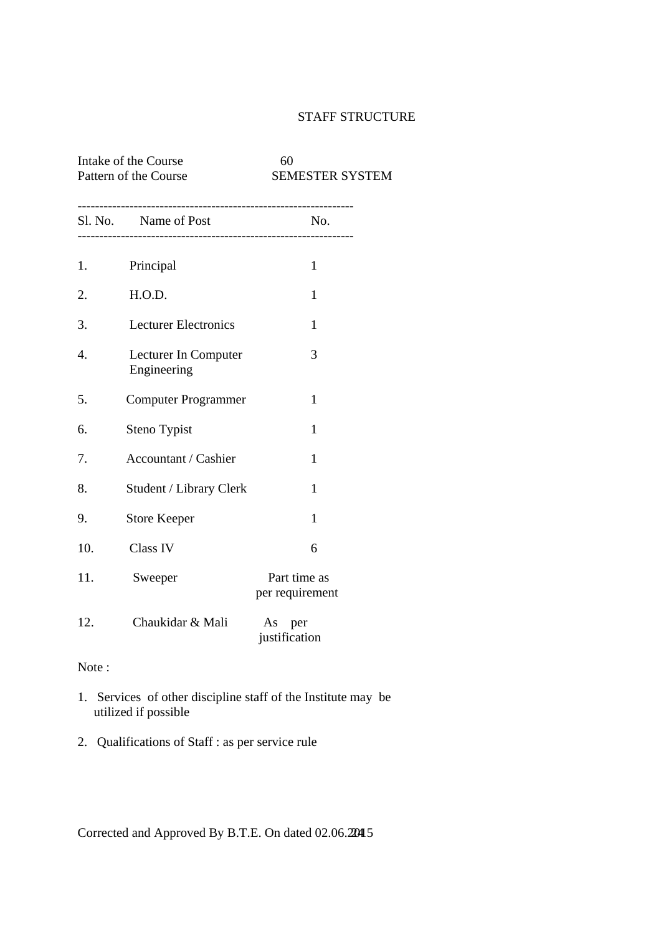## STAFF STRUCTURE

## Intake of the Course 60 Pattern of the Course SEMESTER SYSTEM

|     | Sl. No. Name of Post                | $N_{0}$                         |
|-----|-------------------------------------|---------------------------------|
| 1.  | Principal                           | $\mathbf{1}$                    |
| 2.  | H.O.D.                              | 1                               |
| 3.  | <b>Lecturer Electronics</b>         | $\mathbf{1}$                    |
| 4.  | Lecturer In Computer<br>Engineering | 3                               |
| 5.  | <b>Computer Programmer</b>          | $\mathbf{1}$                    |
| 6.  | Steno Typist                        | 1                               |
| 7.  | Accountant / Cashier                | 1                               |
| 8.  | Student / Library Clerk             | $\mathbf{1}$                    |
| 9.  | <b>Store Keeper</b>                 | 1                               |
| 10. | <b>Class IV</b>                     | 6                               |
| 11. | Sweeper                             | Part time as<br>per requirement |
| 12. | Chaukidar & Mali                    | As per<br>justification         |

Note :

- 1. Services of other discipline staff of the Institute may be utilized if possible
- 2. Qualifications of Staff : as per service rule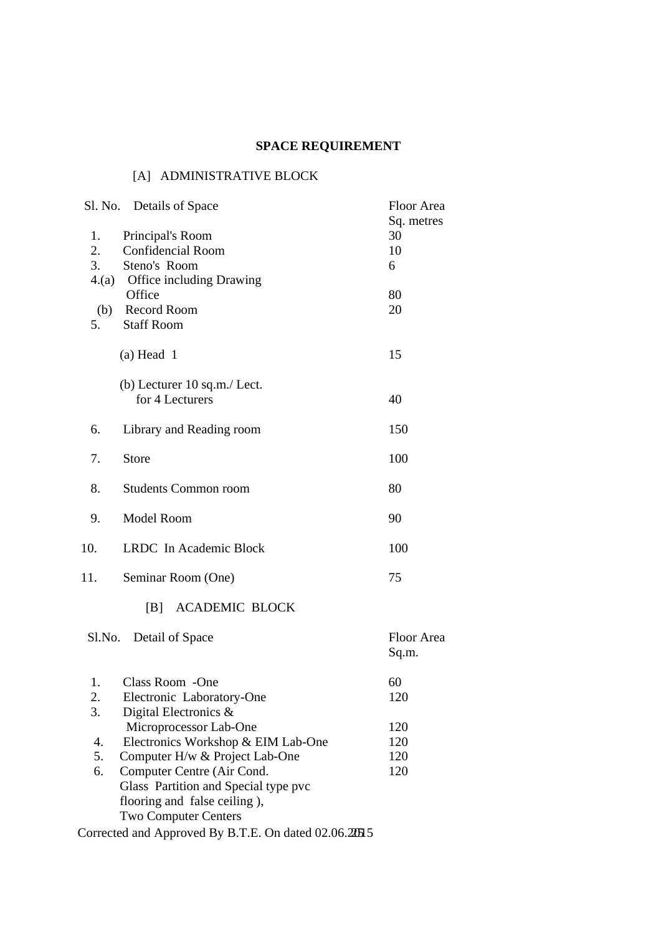# **SPACE REQUIREMENT**

## [A] ADMINISTRATIVE BLOCK

| Sl. No. Details of Space                 | Floor Area |
|------------------------------------------|------------|
|                                          | Sq. metres |
| Principal's Room<br>1.                   | 30         |
| 2.<br><b>Confidencial Room</b>           | 10         |
| 3.<br>Steno's Room                       | 6          |
| 4.(a) Office including Drawing           |            |
| Office                                   | 80         |
| (b) Record Room                          | 20         |
| 5.<br><b>Staff Room</b>                  |            |
|                                          |            |
| $(a)$ Head 1                             | 15         |
| (b) Lecturer 10 sq.m./ Lect.             |            |
| for 4 Lecturers                          | 40         |
|                                          |            |
| 6.<br>Library and Reading room           | 150        |
|                                          |            |
| 7.<br><b>Store</b>                       | 100        |
|                                          |            |
| 8.<br><b>Students Common room</b>        | 80         |
|                                          |            |
| 9.<br>Model Room                         | 90         |
|                                          |            |
| 10.<br>LRDC In Academic Block            | 100        |
|                                          |            |
|                                          | 75         |
| 11.<br>Seminar Room (One)                |            |
|                                          |            |
| <b>ACADEMIC BLOCK</b><br> B              |            |
|                                          |            |
| Detail of Space<br>Sl.No.                | Floor Area |
|                                          | Sq.m.      |
|                                          |            |
| Class Room - One<br>1.                   | 60         |
| 2.<br>Electronic Laboratory-One          | 120        |
| 3.<br>Digital Electronics &              |            |
| Microprocessor Lab-One                   | 120        |
| Electronics Workshop & EIM Lab-One<br>4. | 120        |
| 5.<br>Computer H/w & Project Lab-One     | 120        |
| Computer Centre (Air Cond.<br>6.         | 120        |
| Glass Partition and Special type pvc     |            |
| flooring and false ceiling),             |            |
| <b>Two Computer Centers</b>              |            |
|                                          |            |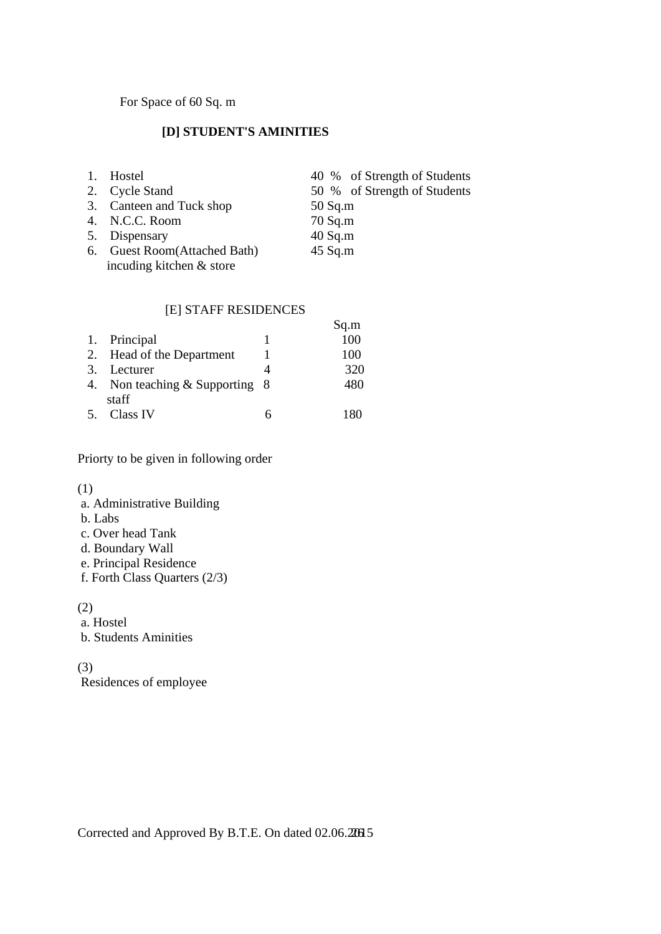For Space of 60 Sq. m

## **[D] STUDENT'S AMINITIES**

| Hostel                       | 40 % of Strength of Students |
|------------------------------|------------------------------|
| 2. Cycle Stand               | 50 % of Strength of Students |
| 3. Canteen and Tuck shop     | $50$ Sq.m                    |
| 4. N.C.C. Room               | $70$ Sq.m                    |
| 5. Dispensary                | $40$ Sq.m                    |
| 6. Guest Room(Attached Bath) | $45$ Sq.m                    |
| incuding kitchen & store     |                              |
|                              |                              |

## [E] STAFF RESIDENCES

|    |                                    | Sq.m  |
|----|------------------------------------|-------|
|    | 1. Principal                       | 100   |
|    | 2. Head of the Department          | 100   |
| 3. | Lecturer                           | 320   |
|    | 4. Non teaching $&$ Supporting $&$ | 480   |
|    | staff                              |       |
|    | Class IV                           | 1 R.U |

Priorty to be given in following order

(1)

- a. Administrative Building
- b. Labs
- c. Over head Tank
- d. Boundary Wall
- e. Principal Residence
- f. Forth Class Quarters (2/3)

(2)

- a. Hostel
- b. Students Aminities

(3)

Residences of employee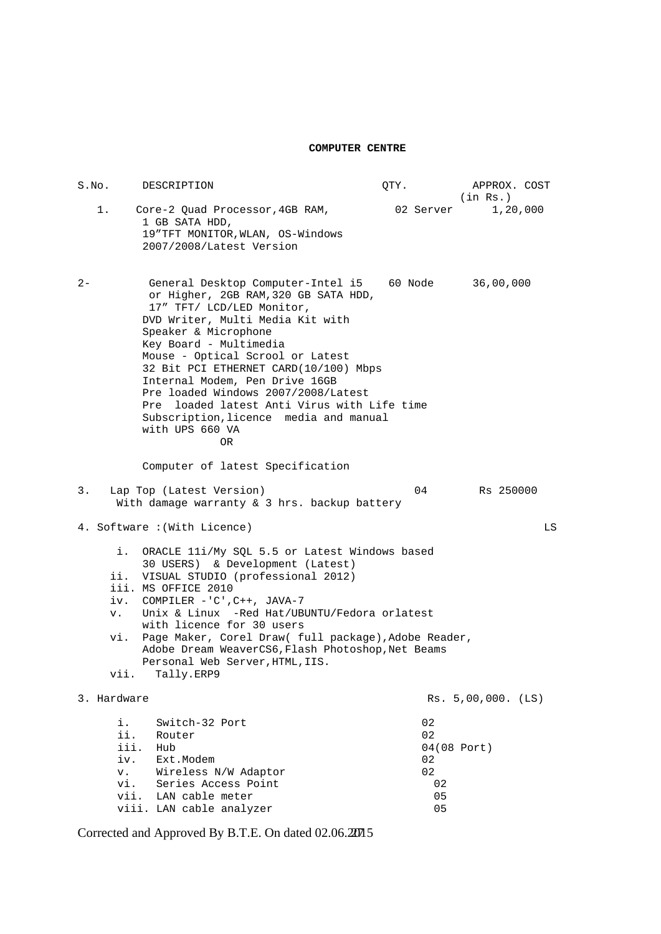#### **COMPUTER CENTRE**

S.No. DESCRIPTION  $QTY$ . APPROX. COST in Rs.)<br>02 Server 1,20,000 1. Core-2 Quad Processor, 4GB RAM, 1 GB SATA HDD, 19"TFT MONITOR,WLAN, OS-Windows 2007/2008/Latest Version 2- General Desktop Computer-Intel i5 60 Node 36,00,000 or Higher, 2GB RAM,320 GB SATA HDD, 17" TFT/ LCD/LED Monitor, DVD Writer, Multi Media Kit with Speaker & Microphone Key Board - Multimedia Mouse - Optical Scrool or Latest 32 Bit PCI ETHERNET CARD(10/100) Mbps Internal Modem, Pen Drive 16GB Pre loaded Windows 2007/2008/Latest Pre loaded latest Anti Virus with Life time Subscription,licence media and manual with UPS 660 VA **OR** OR Computer of latest Specification 3. Lap Top (Latest Version) 04 Rs 250000 With damage warranty & 3 hrs. backup battery 4. Software :(With Licence) LS i. ORACLE 11i/My SQL 5.5 or Latest Windows based 30 USERS) & Development (Latest) ii. VISUAL STUDIO (professional 2012) iii. MS OFFICE 2010 iv. COMPILER -'C',C++, JAVA-7 v. Unix & Linux -Red Hat/UBUNTU/Fedora orlatest with licence for 30 users vi. Page Maker, Corel Draw( full package),Adobe Reader, Adobe Dream WeaverCS6,Flash Photoshop,Net Beams Personal Web Server, HTML, IIS. vii. Tally.ERP9 3. Hardware 2012 2020 12:00 12:00 12:00 12:00 12:00 12:00 12:00 12:00 12:00 12:00 12:00 12:00 12:00 12:00 12:0 i. Switch-32 Port 02 ii. Router 02<br>iii. Hub 04 04(08 Port)<br>02 iv. Ext.Modem 02<br>v. Wireless N/W Adaptor 02 v. Wireless N/W Adaptor vi. Series Access Point 02 vii. Scribs noods is seen.<br>
vii. LAN cable meter 05<br>
viii. LAN cable analyzer 05 viii. LAN cable analyzer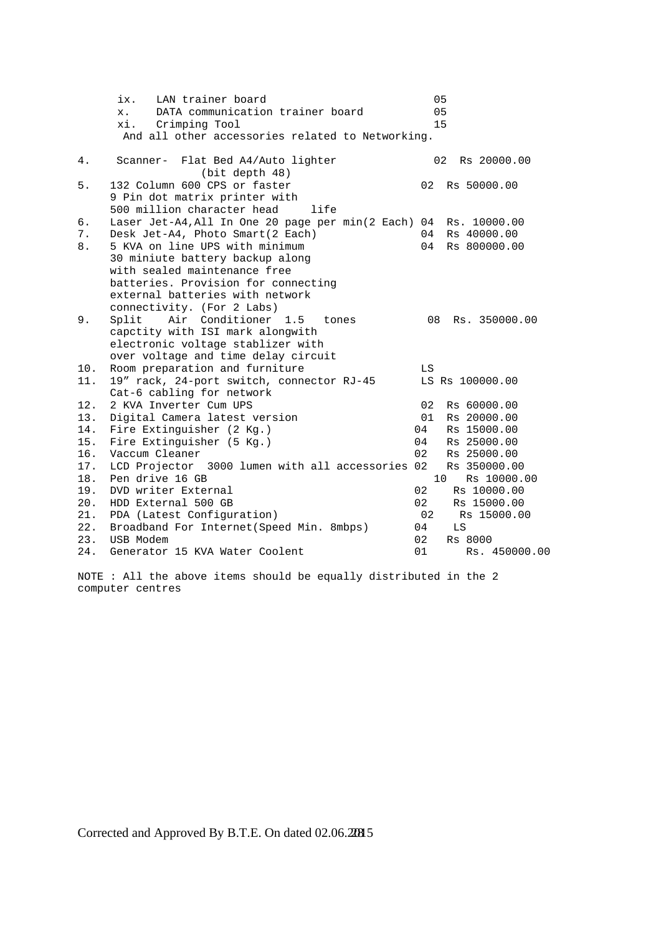|       | ix.<br>LAN trainer board                                               | 05                             |
|-------|------------------------------------------------------------------------|--------------------------------|
|       | DATA communication trainer board<br>$x_{\rm A}$                        | 05                             |
|       | Crimping Tool<br>xi.                                                   | 15                             |
|       | And all other accessories related to Networking.                       |                                |
| 4.    | Scanner- Flat Bed A4/Auto lighter                                      | 02<br>Rs 20000.00              |
|       | (bit depth 48)                                                         |                                |
| 5.    | 132 Column 600 CPS or faster                                           | 02<br>Rs 50000.00              |
|       | 9 Pin dot matrix printer with                                          |                                |
|       | 500 million character head<br>life                                     |                                |
| б.    | Laser Jet-A4, All In One 20 page per min(2 Each) 04                    | Rs. 10000.00                   |
| 7.    | Desk Jet-A4, Photo Smart(2 Each)                                       | Rs 40000.00<br>04              |
| $8$ . | 5 KVA on line UPS with minimum                                         | 04<br>Rs 800000.00             |
|       | 30 miniute battery backup along                                        |                                |
|       | with sealed maintenance free                                           |                                |
|       | batteries. Provision for connecting                                    |                                |
|       | external batteries with network                                        |                                |
|       | connectivity. (For 2 Labs)                                             |                                |
| 9.    | Air Conditioner 1.5<br>Split<br>tones                                  | 08<br>Rs. 350000.00            |
|       | capctity with ISI mark alongwith                                       |                                |
|       | electronic voltage stablizer with                                      |                                |
|       | over voltage and time delay circuit                                    |                                |
| 10.   | Room preparation and furniture                                         | LS                             |
| 11.   | 19" rack, 24-port switch, connector RJ-45<br>Cat-6 cabling for network | LS Rs 100000.00                |
| 12.   | 2 KVA Inverter Cum UPS                                                 | 02<br>Rs 60000.00              |
| 13.   | Digital Camera latest version                                          | 01<br>Rs 20000.00              |
| 14.   | Fire Extinguisher (2 Kg.)                                              | 04<br>Rs 15000.00              |
| 15.   | Fire Extinguisher (5 Kg.)                                              | 04<br>Rs 25000.00              |
| 16.   | Vaccum Cleaner                                                         | 02<br>Rs 25000.00              |
| 17.   | LCD Projector 3000 lumen with all accessories 02                       | Rs 350000.00                   |
| 18.   | Pen drive 16 GB                                                        | 10 <sup>°</sup><br>Rs 10000.00 |
| 19.   | DVD writer External                                                    | 02<br>Rs 10000.00              |
| 20.   | HDD External 500 GB                                                    | 02<br>Rs 15000.00              |
| 21.   | PDA (Latest Configuration)                                             | 02<br>Rs 15000.00              |
| 22.   | Broadband For Internet (Speed Min. 8mbps)                              | 04<br>LS                       |
| 23.   | USB Modem                                                              | 02 <sub>o</sub><br>Rs 8000     |
| 24.   | Generator 15 KVA Water Coolent                                         | 01<br>Rs. 450000.00            |
|       |                                                                        |                                |

NOTE : All the above items should be equally distributed in the 2 computer centres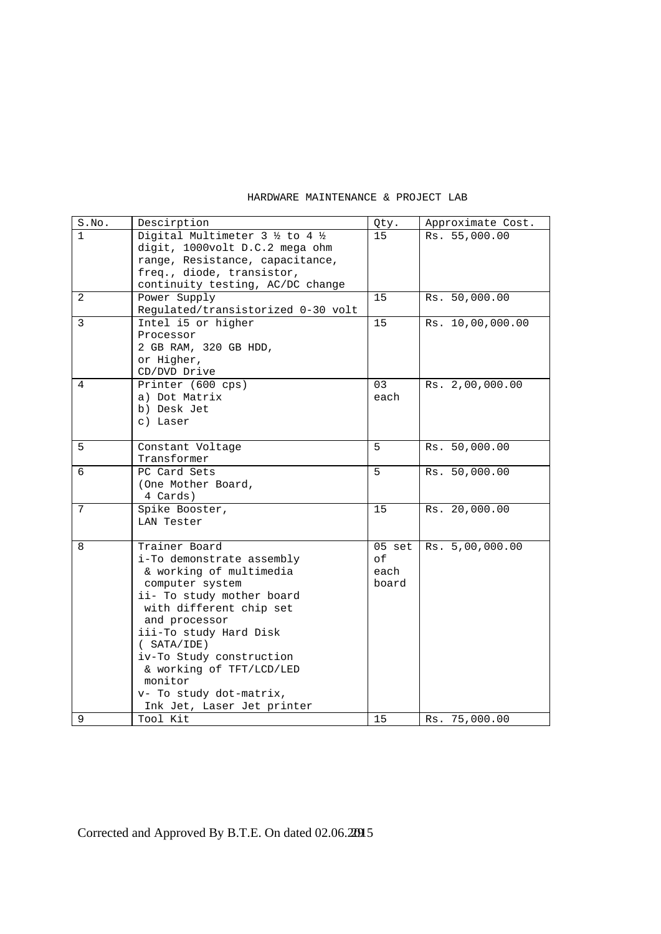| S.No. | Descirption                                         | Qty.     | Approximate Cost. |
|-------|-----------------------------------------------------|----------|-------------------|
| 1     | Digital Multimeter $3\frac{1}{2}$ to $4\frac{1}{2}$ | 15       | Rs. 55,000.00     |
|       | digit, 1000volt D.C.2 mega ohm                      |          |                   |
|       | range, Resistance, capacitance,                     |          |                   |
|       | freq., diode, transistor,                           |          |                   |
|       | continuity testing, AC/DC change                    |          |                   |
| 2     | Power Supply                                        | 15       | Rs. 50,000.00     |
|       | Regulated/transistorized 0-30 volt                  |          |                   |
| 3     | Intel i5 or higher                                  | 15       | Rs. 10,00,000.00  |
|       | Processor                                           |          |                   |
|       | 2 GB RAM, 320 GB HDD,                               |          |                   |
|       | or Higher,                                          |          |                   |
|       | CD/DVD Drive                                        |          |                   |
| 4     | Printer (600 cps)                                   | 03       | Rs. 2,00,000.00   |
|       | a) Dot Matrix                                       | each     |                   |
|       | b) Desk Jet                                         |          |                   |
|       | c) Laser                                            |          |                   |
|       |                                                     |          |                   |
| 5     | Constant Voltage                                    | 5        | Rs. 50,000.00     |
|       | Transformer                                         |          |                   |
| 6     | PC Card Sets                                        | 5        | Rs. 50,000.00     |
|       | (One Mother Board,                                  |          |                   |
|       | 4 Cards)                                            |          |                   |
| 7     | Spike Booster,                                      | 15       | Rs. 20,000.00     |
|       | LAN Tester                                          |          |                   |
|       |                                                     |          |                   |
| 8     | Trainer Board                                       | $05$ set | Rs. 5,00,000.00   |
|       | i-To demonstrate assembly                           | оf       |                   |
|       | & working of multimedia                             | each     |                   |
|       | computer system                                     | board    |                   |
|       | ii- To study mother board                           |          |                   |
|       | with different chip set                             |          |                   |
|       | and processor                                       |          |                   |
|       | iii-To study Hard Disk                              |          |                   |
|       | (SATA/IDE)                                          |          |                   |
|       | iv-To Study construction                            |          |                   |
|       | & working of TFT/LCD/LED                            |          |                   |
|       | monitor                                             |          |                   |
|       | v- To study dot-matrix,                             |          |                   |
|       | Ink Jet, Laser Jet printer                          |          |                   |
| 9     | Tool Kit                                            | 15       | Rs. 75,000.00     |

### HARDWARE MAINTENANCE & PROJECT LAB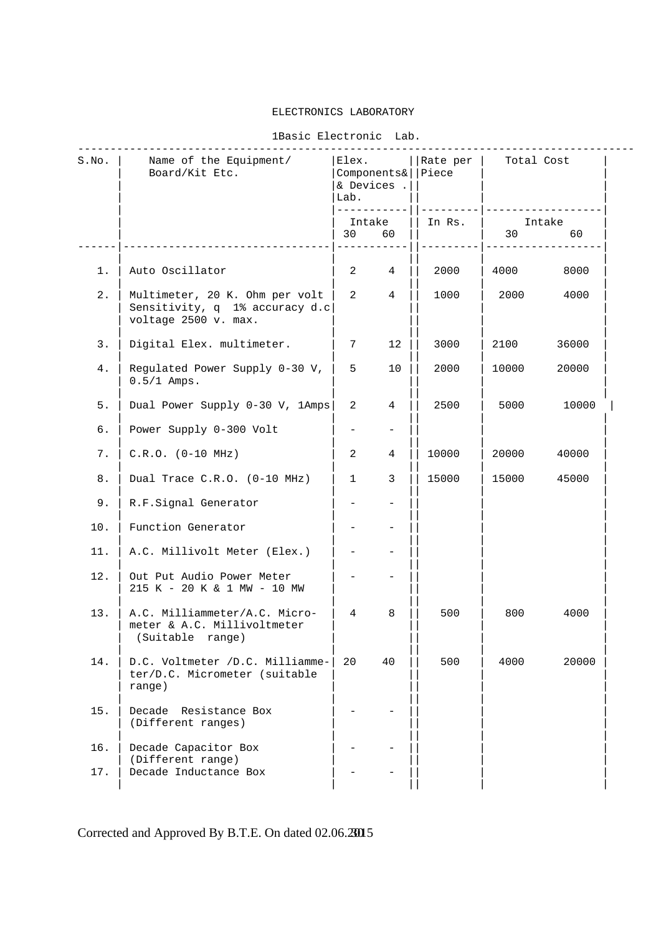#### ELECTRONICS LABORATORY

#### 1Basic Electronic Lab.

| S.NO.   | Name of the Equipment/<br>Board/Kit Etc.                                                 | Elex.<br>Components&<br>& Devices .<br>Lab.<br>------------ |                | Rate per  <br>Piece | Total Cost |              |
|---------|------------------------------------------------------------------------------------------|-------------------------------------------------------------|----------------|---------------------|------------|--------------|
|         |                                                                                          | Intake<br>30                                                | 60             | In Rs.              | 30         | Intake<br>60 |
| $1$ .   | Auto Oscillator                                                                          | $\overline{a}$                                              | $\overline{4}$ | 2000                | 4000       | 8000         |
| $2$ .   | Multimeter, 20 K. Ohm per volt<br>Sensitivity, q 1% accuracy d.c<br>voltage 2500 v. max. | $\overline{a}$                                              | $\overline{4}$ | 1000                | 2000       | 4000         |
| 3.      | Digital Elex. multimeter.                                                                | $7\phantom{.0}$                                             | 12             | 3000                | 2100       | 36000        |
| 4.      | Regulated Power Supply 0-30 V,<br>$0.5/1$ Amps.                                          | 5                                                           | 10             | 2000                | 10000      | 20000        |
| $5.$    | Dual Power Supply 0-30 V, 1Amps                                                          | 2                                                           | 4              | 2500                | 5000       | 10000        |
| б.      | Power Supply 0-300 Volt                                                                  |                                                             |                |                     |            |              |
| 7.      | $C.R.O. (0-10 MHz)$                                                                      | $\overline{a}$                                              | $\overline{4}$ | 10000               | 20000      | 40000        |
| $\,8$ . | Dual Trace C.R.O. (0-10 MHz)                                                             | $\mathbf{1}$                                                | 3              | 15000               | 15000      | 45000        |
| 9.      | R.F.Signal Generator                                                                     |                                                             |                |                     |            |              |
| 10.     | Function Generator                                                                       |                                                             |                |                     |            |              |
| 11.     | A.C. Millivolt Meter (Elex.)                                                             |                                                             |                |                     |            |              |
| 12.     | Out Put Audio Power Meter<br>215 K - 20 K & 1 MW - 10 MW                                 |                                                             |                |                     |            |              |
| 13.     | A.C. Milliammeter/A.C. Micro-<br>meter & A.C. Millivoltmeter<br>(Suitable range)         | $\overline{4}$                                              | 8              | 500                 | 800        | 4000         |
| 14.     | D.C. Voltmeter /D.C. Milliamme-<br>ter/D.C. Micrometer (suitable<br>range)               | 20                                                          | 40             | 500                 | 4000       | 20000        |
| 15.     | Decade Resistance Box<br>(Different ranges)                                              |                                                             |                |                     |            |              |
| 16.     | Decade Capacitor Box                                                                     |                                                             |                |                     |            |              |
| 17.     | (Different range)<br>Decade Inductance Box                                               |                                                             |                |                     |            |              |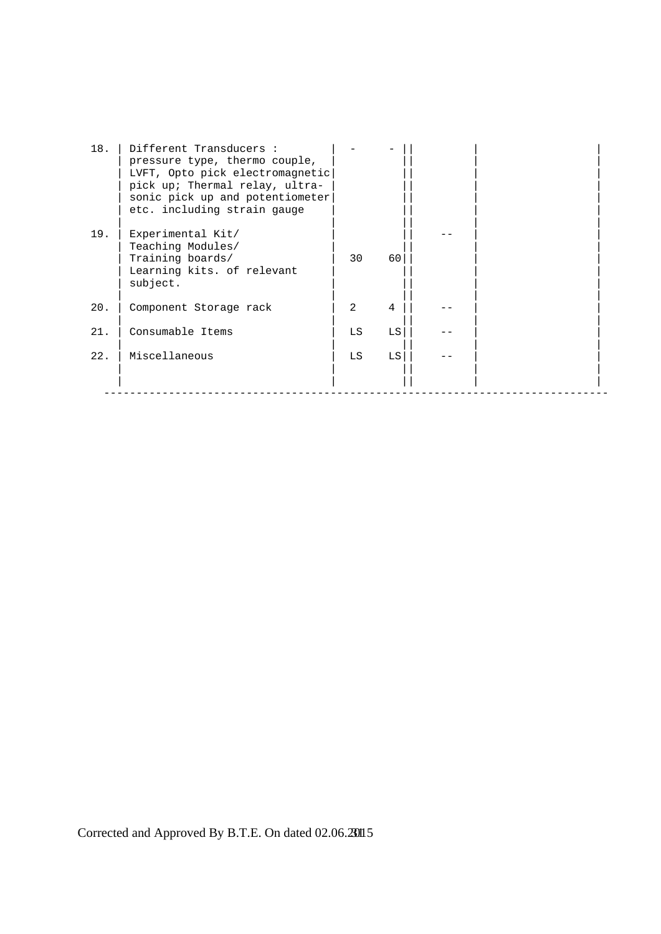| 18. | Different Transducers :<br>pressure type, thermo couple,<br>LVFT, Opto pick electromagnetic<br>pick up; Thermal relay, ultra-<br>sonic pick up and potentiometer<br>etc. including strain gauge |                |    |  |  |
|-----|-------------------------------------------------------------------------------------------------------------------------------------------------------------------------------------------------|----------------|----|--|--|
| 19. | Experimental Kit/<br>Teaching Modules/<br>Training boards/<br>Learning kits. of relevant<br>subject.                                                                                            | 30             | 60 |  |  |
| 20. | Component Storage rack                                                                                                                                                                          | $\overline{2}$ | 4  |  |  |
| 21. | Consumable Items                                                                                                                                                                                | LS             | LS |  |  |
| 22. | Miscellaneous                                                                                                                                                                                   | LS             | LS |  |  |
|     |                                                                                                                                                                                                 |                |    |  |  |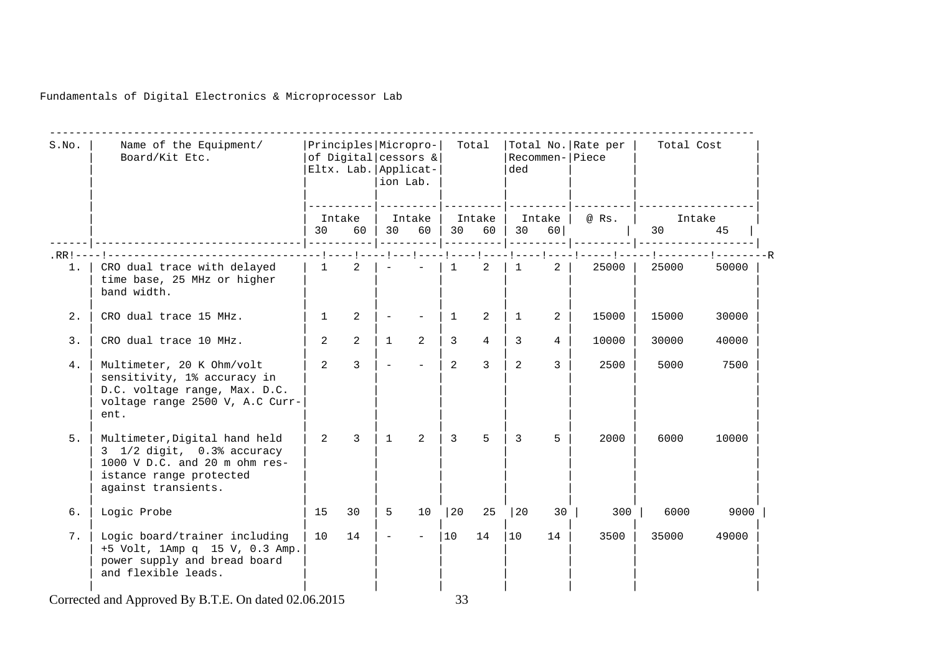Fundamentals of Digital Electronics & Microprocessor Lab

| S.NO. | Name of the Equipment/<br>Board/Kit Etc.                                                                                                       |              | Principles Micropro-<br>of Digital cessors &<br>Eltx. Lab. Applicat- | ion Lab.     |                          |                | Total           | ded                    |                   | Total No. Rate per<br>Recommen- Piece | Total Cost                |       |  |
|-------|------------------------------------------------------------------------------------------------------------------------------------------------|--------------|----------------------------------------------------------------------|--------------|--------------------------|----------------|-----------------|------------------------|-------------------|---------------------------------------|---------------------------|-------|--|
|       |                                                                                                                                                | 30           | Intake<br>60                                                         | 30           | Intake<br>60             | 30             | Intake<br>60    |                        | Intake  <br>30 60 | @ Rs.                                 | Intake<br>30 <sup>2</sup> | 45    |  |
|       |                                                                                                                                                |              |                                                                      |              |                          |                |                 |                        |                   |                                       |                           |       |  |
| 1.    | CRO dual trace with delayed<br>time base, 25 MHz or higher<br>band width.                                                                      | 1            | 2                                                                    |              | $\sim$                   | $\mathbf{1}$   | 2               | $1 \quad \blacksquare$ | $\overline{a}$    | $25000$                               | 25000                     | 50000 |  |
| 2.    | CRO dual trace 15 MHz.                                                                                                                         | $\mathbf{1}$ | 2                                                                    |              | $\overline{\phantom{0}}$ | 1              | 2               | $\mathbf{1}$           | 2                 | 15000                                 | 15000                     | 30000 |  |
| 3.    | CRO dual trace 10 MHz.                                                                                                                         | 2            | 2                                                                    | $\mathbf{1}$ | 2                        | 3              | $4\overline{ }$ | 3                      | 4                 | 10000                                 | 30000                     | 40000 |  |
| 4.    | Multimeter, 20 K Ohm/volt<br>sensitivity, 1% accuracy in<br>D.C. voltage range, Max. D.C.<br>voltage range 2500 V, A.C Curr-<br>ent.           | 2            | $\overline{3}$                                                       |              | $\overline{\phantom{a}}$ | 2              | $\overline{3}$  | 2                      | 3                 | 2500                                  | 5000                      | 7500  |  |
| 5.    | Multimeter, Digital hand held<br>3 1/2 digit, 0.3% accuracy<br>1000 V D.C. and 20 m ohm res-<br>istance range protected<br>against transients. | 2            | $\mathcal{E}$                                                        | $\mathbf{1}$ | 2                        | $\overline{3}$ | 5               | 3                      | 5                 | 2000                                  | 6000                      | 10000 |  |
| б.    | Logic Probe                                                                                                                                    | 15           | 30                                                                   | 5            | 10                       | 20             | 25              | $ 20\rangle$           | 30                | 300                                   | 6000                      | 9000  |  |
| 7.    | Logic board/trainer including<br>+5 Volt, 1Amp q 15 V, 0.3 Amp.<br>power supply and bread board<br>and flexible leads.                         | 10           | 14                                                                   | $\equiv$     | $\equiv$                 | 10             | 14              | 10                     | 14                | 3500                                  | 35000                     | 49000 |  |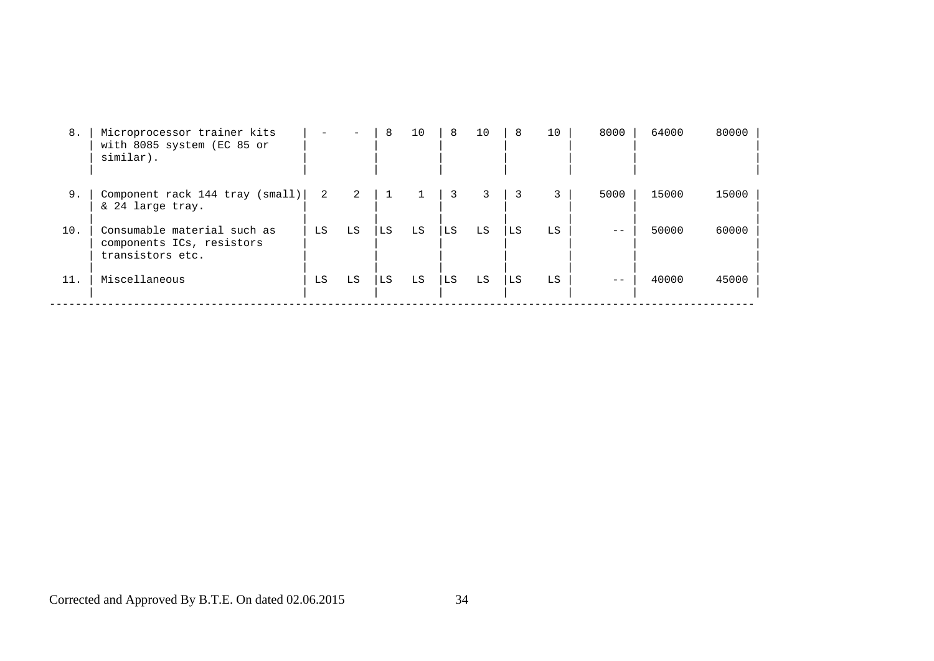| 8.  | Microprocessor trainer kits<br>with 8085 system (EC 85 or<br>similar).       |    |    | 8  | 10 | 8  | 10 | 8  | 10 | 8000 | 64000 | 80000 |
|-----|------------------------------------------------------------------------------|----|----|----|----|----|----|----|----|------|-------|-------|
| 9.  | Component rack 144 tray (small)<br>& 24 large tray.                          | -2 | 2  |    |    | 3  |    |    |    | 5000 | 15000 | 15000 |
| 10. | Consumable material such as<br>components ICs, resistors<br>transistors etc. | LS | LS | LS | LS | LS | LS | LS | LS |      | 50000 | 60000 |
| 11. | Miscellaneous                                                                | LS | LS | LS | LS | LS | LS | LS | LS |      | 40000 | 45000 |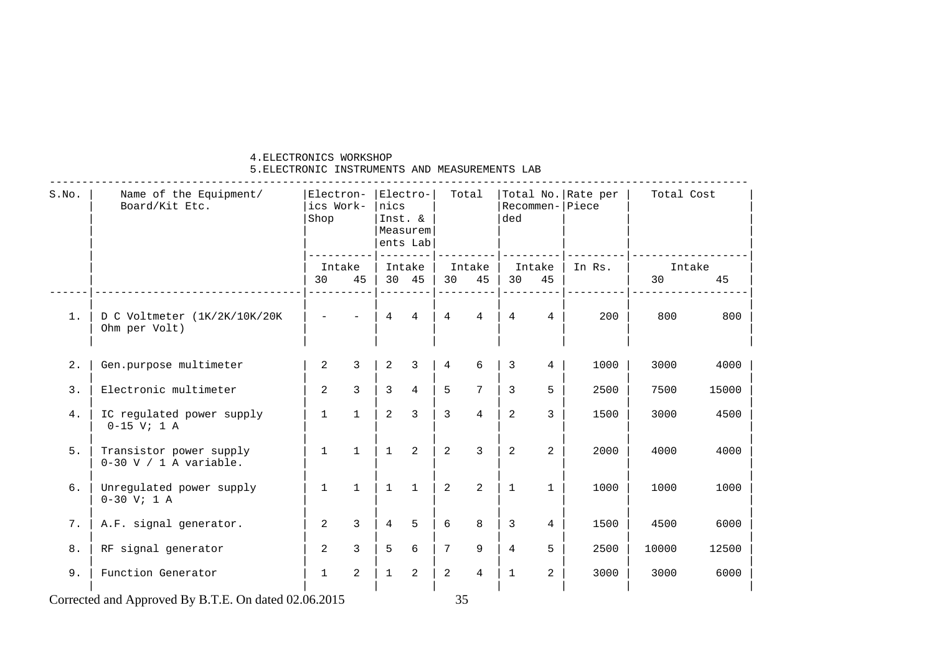#### 4.ELECTRONICS WORKSHOP

#### 5.ELECTRONIC INSTRUMENTS AND MEASUREMENTS LAB

| S.NO. | Name of the Equipment/<br>Board/Kit Etc.            | Electron-<br>ics Work-<br>Shop |               | nics<br>Inst. & | Electro-<br>Measurem<br>ents Lab | Total           |                 | ded            |                 | Total No. Rate per<br>$Recommend -   Piece$ | Total Cost   |       |
|-------|-----------------------------------------------------|--------------------------------|---------------|-----------------|----------------------------------|-----------------|-----------------|----------------|-----------------|---------------------------------------------|--------------|-------|
|       |                                                     | Intake<br>30                   | 45            | 30 45           | Intake                           | 30              | Intake<br>45    | 30             | Intake<br>45    | In Rs.                                      | Intake<br>30 | 45    |
| $1$ . | D C Voltmeter (1K/2K/10K/20K<br>Ohm per Volt)       |                                |               | $\overline{4}$  | $\overline{4}$                   | $\overline{4}$  | $\overline{4}$  | $\overline{4}$ | $4^{\circ}$     | 200                                         | 800          | 800   |
| 2.    | Gen.purpose multimeter                              | $\overline{a}$                 | 3             | $\overline{2}$  | 3                                | $\overline{4}$  | 6               | 3              | $\overline{4}$  | 1000                                        | 3000         | 4000  |
| 3.    | Electronic multimeter                               | $\overline{2}$                 | $\mathcal{L}$ | $\overline{3}$  | $\overline{4}$                   | 5               | $7\overline{ }$ | 3              | 5               | 2500                                        | 7500         | 15000 |
| 4.    | IC regulated power supply<br>$0-15$ V; 1 A          | $\mathbf{1}$                   | $\mathbf{1}$  | $\overline{2}$  | 3                                | $\overline{3}$  | $\overline{4}$  | $\overline{a}$ | $\overline{3}$  | 1500                                        | 3000         | 4500  |
| 5.    | Transistor power supply<br>$0-30$ V / 1 A variable. | $\mathbf{1}$                   | $\mathbf{1}$  | $\mathbf{1}$    | 2                                | 2               | 3               | 2              | $\overline{2}$  | 2000                                        | 4000         | 4000  |
| 6.    | Unregulated power supply<br>$0-30$ V; 1 A           | $\mathbf{1}$                   | $\mathbf{1}$  | $\mathbf{1}$    | $\mathbf{1}$                     | 2               | 2               | $\mathbf{1}$   | $\mathbf{1}$    | 1000                                        | 1000         | 1000  |
| 7.    | A.F. signal generator.                              | $\overline{a}$                 | 3             | $\overline{4}$  | 5                                | 6               | 8               | $\overline{3}$ | $4\overline{ }$ | 1500                                        | 4500         | 6000  |
| 8.    | RF signal generator                                 | $\overline{2}$                 | 3             | 5               | 6                                | $7\overline{ }$ | 9               | $\overline{4}$ | 5               | 2500                                        | 10000        | 12500 |
| 9.    | Function Generator                                  | $\mathbf{1}$                   | 2             | $\mathbf{1}$    | 2                                | 2               | $\overline{4}$  | $\overline{1}$ | $\overline{2}$  | 3000                                        | 3000         | 6000  |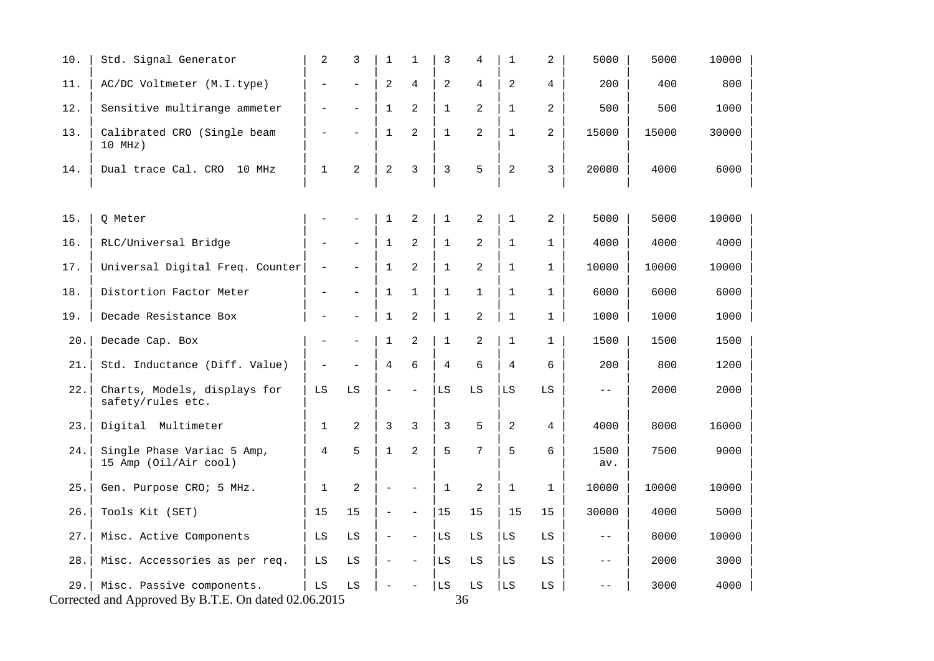| 10.  | Std. Signal Generator                                                             | $\overline{a}$           | 3                        | 1                        | $\mathbf{1}$      | 3              | 4            | $1\,$          | $\overline{a}$ | 5000        | 5000  | 10000 |  |
|------|-----------------------------------------------------------------------------------|--------------------------|--------------------------|--------------------------|-------------------|----------------|--------------|----------------|----------------|-------------|-------|-------|--|
| 11.  | AC/DC Voltmeter (M.I.type)                                                        | $\overline{a}$           | $\overline{a}$           | $\overline{a}$           | 4                 | 2              | 4            | $\overline{a}$ | $\overline{4}$ | 200         | 400   | 800   |  |
| 12.  | Sensitive multirange ammeter                                                      | $\qquad \qquad -$        | $\qquad \qquad -$        | $\mathbf{1}$             | 2                 | $\mathbf{1}$   | 2            | $\mathbf{1}$   | $\overline{2}$ | 500         | 500   | 1000  |  |
| 13.  | Calibrated CRO (Single beam<br>$10$ MHz)                                          | $\qquad \qquad -$        | $\overline{\phantom{0}}$ | $\mathbf 1$              | 2                 | $\mathbf{1}$   | 2            | $\mathbf{1}$   | $\overline{a}$ | 15000       | 15000 | 30000 |  |
| 14.  | Dual trace Cal. CRO 10 MHz                                                        | $\mathbf{1}$             | $\overline{2}$           | $\overline{2}$           | 3                 | 3              | 5            | $\overline{2}$ | 3              | 20000       | 4000  | 6000  |  |
|      |                                                                                   |                          |                          |                          |                   |                |              |                |                |             |       |       |  |
| 15.  | Q Meter                                                                           |                          |                          | $\mathbf 1$              | 2                 | $\mathbf{1}$   | 2            | $\mathbf{1}$   | 2              | 5000        | 5000  | 10000 |  |
| 16.  | RLC/Universal Bridge                                                              | $\qquad \qquad -$        | $\qquad \qquad -$        | $\mathbf{1}$             | 2                 | $\mathbf{1}$   | 2            | $\mathbf{1}$   | $\mathbf 1$    | 4000        | 4000  | 4000  |  |
| 17.  | Universal Digital Freq. Counter                                                   | $\qquad \qquad -$        | $\qquad \qquad -$        | $\mathbf 1$              | 2                 | $\mathbf 1$    | 2            | $\mathbf{1}$   | $\mathbf{1}$   | 10000       | 10000 | 10000 |  |
| 18.  | Distortion Factor Meter                                                           |                          | $\qquad \qquad -$        | 1                        | $\mathbf{1}$      | $\mathbf 1$    | $\mathbf{1}$ | $\mathbf{1}$   | $\mathbf{1}$   | 6000        | 6000  | 6000  |  |
| 19.  | Decade Resistance Box                                                             | $\overline{\phantom{0}}$ | $\overline{\phantom{0}}$ | $\mathbf 1$              | $\overline{a}$    | $1\,$          | 2            | $\mathbf{1}$   | $\mathbf{1}$   | 1000        | 1000  | 1000  |  |
| 20.1 | Decade Cap. Box                                                                   | $\overline{\phantom{0}}$ | $\overline{\phantom{0}}$ | $\mathbf 1$              | $\overline{2}$    | $\mathbf 1$    | 2            | $\mathbf{1}$   | 1              | 1500        | 1500  | 1500  |  |
| 21.  | Std. Inductance (Diff. Value)                                                     | $\qquad \qquad -$        | $\overline{a}$           | $\overline{4}$           | 6                 | $\overline{4}$ | 6            | $\overline{4}$ | 6              | 200         | 800   | 1200  |  |
| 22.  | Charts, Models, displays for<br>safety/rules etc.                                 | LS                       | LS                       | $\equiv$                 | $\qquad \qquad -$ | LS             | LS           | LS             | LS             | $- -$       | 2000  | 2000  |  |
| 23.  | Digital Multimeter                                                                | $\mathbf{1}$             | 2                        | 3                        | 3                 | 3              | 5            | 2              | $\overline{4}$ | 4000        | 8000  | 16000 |  |
| 24.  | Single Phase Variac 5 Amp,<br>15 Amp (Oil/Air cool)                               | 4                        | 5                        | $\mathbf 1$              | $\overline{2}$    | 5              | 7            | 5              | 6              | 1500<br>av. | 7500  | 9000  |  |
| 25.  | Gen. Purpose CRO; 5 MHz.                                                          | $\mathbf{1}$             | 2                        | $\qquad \qquad -$        | $\qquad \qquad -$ | $\mathbf{1}$   | 2            | $\mathbf{1}$   | $\mathbf{1}$   | 10000       | 10000 | 10000 |  |
| 26.  | Tools Kit (SET)                                                                   | 15                       | 15                       | $\overline{\phantom{a}}$ | $\qquad \qquad -$ | 15             | 15           | 15             | 15             | 30000       | 4000  | 5000  |  |
| 27.  | Misc. Active Components                                                           | LS                       | LS                       | $\qquad \qquad -$        | $\qquad \qquad -$ | LS             | LS           | LS             | LS             | $- -$       | 8000  | 10000 |  |
| 28.  | Misc. Accessories as per req.                                                     | LS                       | LS                       | $\equiv$                 | $\qquad \qquad -$ | LS             | LS           | LS             | LS             | $- -$       | 2000  | 3000  |  |
| 29.1 | Misc. Passive components.<br>Corrected and Approved By B.T.E. On dated 02.06.2015 | ${\rm LS}$               | LS                       |                          |                   | LS             | LS<br>36     | LS             | LS             | $-1$        | 3000  | 4000  |  |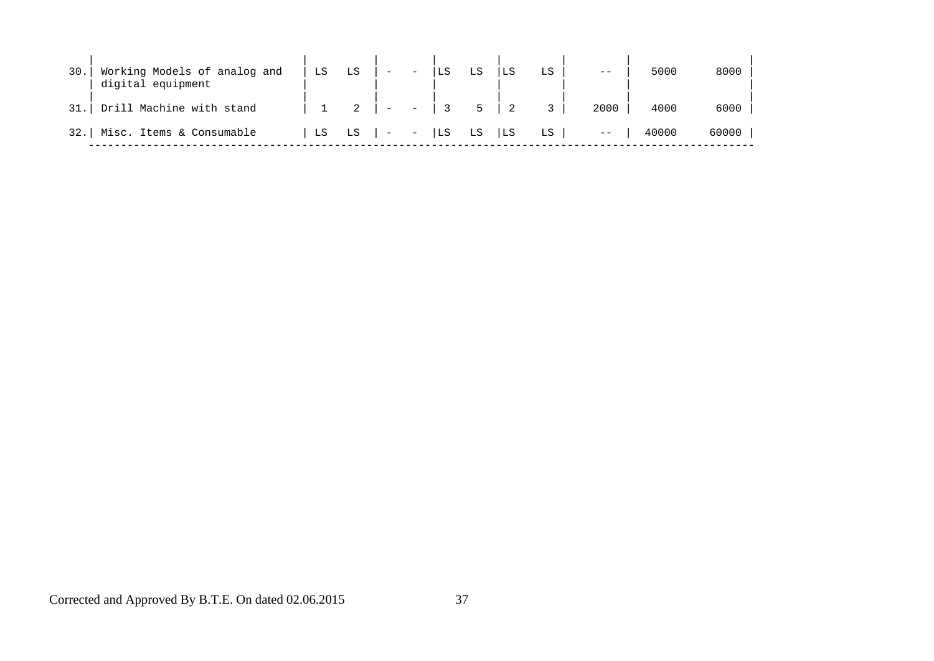| 30.  | Working Models of analog and<br>digital equipment | LS | LS | $\equiv$                                                                                                                                                                                                                                                                                                                                   | $\overline{\phantom{a}}$ |       |                | LS |    | $ -$ | 5000  | 8000  |
|------|---------------------------------------------------|----|----|--------------------------------------------------------------------------------------------------------------------------------------------------------------------------------------------------------------------------------------------------------------------------------------------------------------------------------------------|--------------------------|-------|----------------|----|----|------|-------|-------|
| 31.  | Drill Machine with stand                          |    |    | $\overline{a}$                                                                                                                                                                                                                                                                                                                             | $\equiv$                 |       | 5 <sup>5</sup> |    |    | 2000 | 4000  | 6000  |
| 32.1 | Misc. Items & Consumable                          | LS | LS | $\vert \hspace{.1cm} \vert$ $\hspace{.1cm}$ $\hspace{.1cm}$ $\hspace{.1cm}$ $\hspace{.1cm}$ $\hspace{.1cm}$ $\hspace{.1cm}$ $\hspace{.1cm}$ $\hspace{.1cm}$ $\hspace{.1cm}$ $\hspace{.1cm}$ $\hspace{.1cm}$ $\hspace{.1cm}$ $\hspace{.1cm}$ $\hspace{.1cm}$ $\hspace{.1cm}$ $\hspace{.1cm}$ $\hspace{.1cm}$ $\hspace{.1cm}$ $\hspace{.1cm$ |                          | LS LS |                | LS | LS | $--$ | 40000 | 60000 |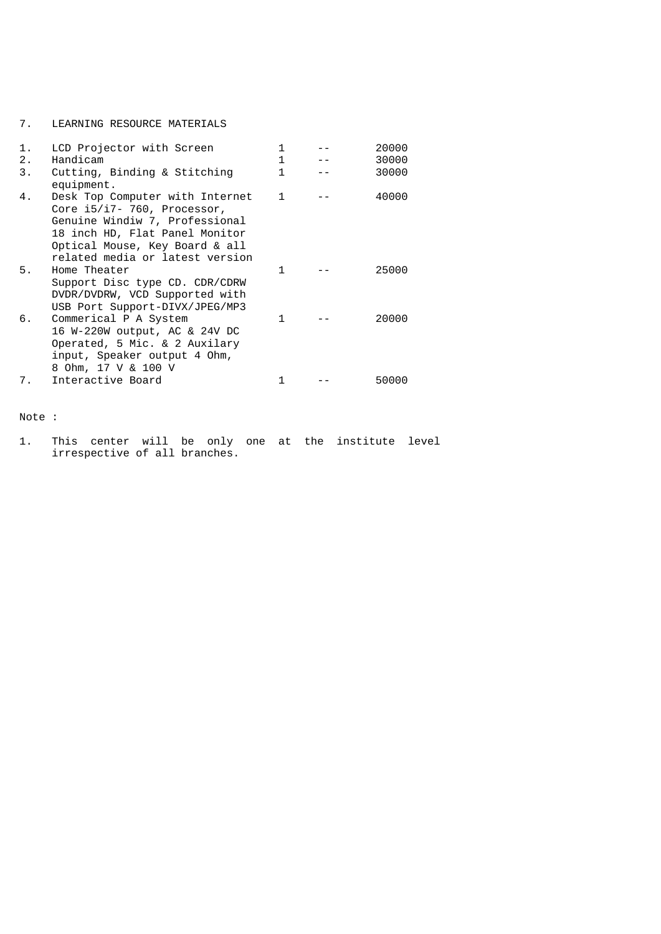#### 7. LEARNING RESOURCE MATERIALS

| 1. | LCD Projector with Screen                                                                                                                                                                                 | 1            | 20000 |
|----|-----------------------------------------------------------------------------------------------------------------------------------------------------------------------------------------------------------|--------------|-------|
| 2. | Handicam                                                                                                                                                                                                  |              | 30000 |
| 3. | Cutting, Binding & Stitching<br>equipment.                                                                                                                                                                | 1.           | 30000 |
| 4. | Desk Top Computer with Internet<br>Core $i5/i7-760$ , Processor,<br>Genuine Windiw 7, Professional<br>18 inch HD, Flat Panel Monitor<br>Optical Mouse, Key Board & all<br>related media or latest version | $\mathbf{1}$ | 40000 |
| 5. | Home Theater<br>Support Disc type CD. CDR/CDRW<br>DVDR/DVDRW, VCD Supported with<br>USB Port Support-DIVX/JPEG/MP3                                                                                        | 1            | 25000 |
| б. | Commerical P A System<br>16 W-220W output, AC & 24V DC<br>Operated, 5 Mic. & 2 Auxilary<br>input, Speaker output 4 Ohm,<br>8 Ohm, 17 V & 100 V                                                            | 1            | 20000 |
| 7. | Interactive Board                                                                                                                                                                                         |              | 50000 |

Note :

1. This center will be only one at the institute level irrespective of all branches.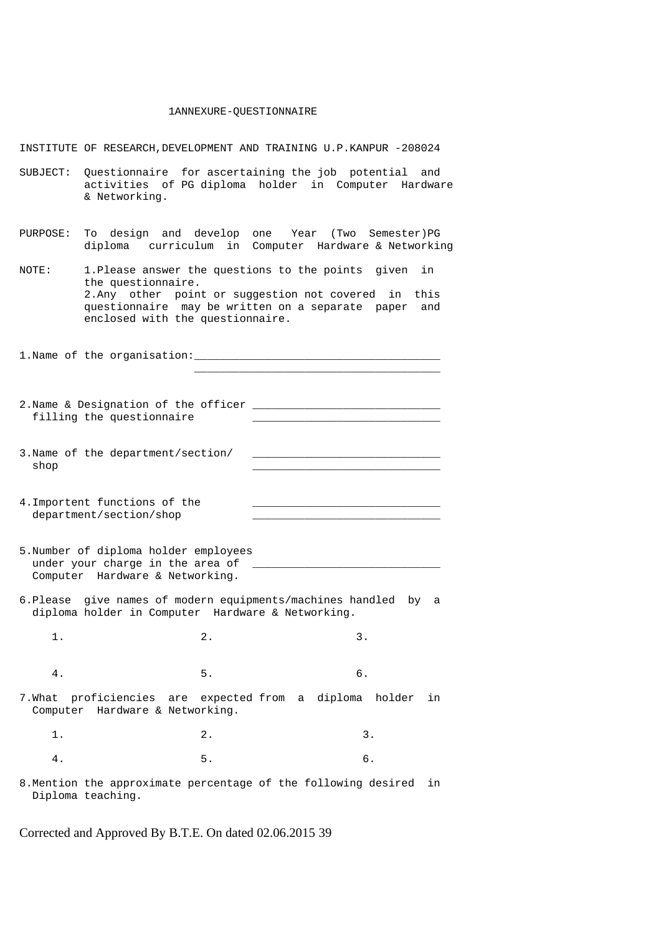#### 1ANNEXURE-QUESTIONNAIRE

INSTITUTE OF RESEARCH,DEVELOPMENT AND TRAINING U.P.KANPUR -208024

- SUBJECT: Questionnaire for ascertaining the job potential and activities of PG diploma holder in Computer Hardware & Networking.
- PURPOSE: To design and develop one Year (Two Semester)PG diploma curriculum in Computer Hardware & Networking
- NOTE: 1.Please answer the questions to the points given in the questionnaire. 2.Any other point or suggestion not covered in this questionnaire may be written on a separate paper and enclosed with the questionnaire.

1.Name of the organisation:\_\_\_\_\_\_\_\_\_\_\_\_\_\_\_\_\_\_\_\_\_\_\_\_\_\_\_\_\_\_\_\_\_\_\_\_\_\_

- 2.Name & Designation of the officer \_\_\_\_\_\_\_\_\_\_\_\_\_\_\_\_\_\_\_\_\_\_\_\_\_\_\_\_\_ filling the questionnaire
- 3. Name of the department/section/  $\operatorname{shop}$
- 4. Importent functions of the department/section/shop
- 5.Number of diploma holder employees under your charge in the area of Computer Hardware & Networking.
- 6.Please give names of modern equipments/machines handled by a diploma holder in Computer Hardware & Networking.

1. 2. 3.

4. 5. 6.

- 
- 7.What proficiencies are expected from a diploma holder in Computer Hardware & Networking.

1. 2. 3. 4. 5. 6.

8.Mention the approximate percentage of the following desired in Diploma teaching.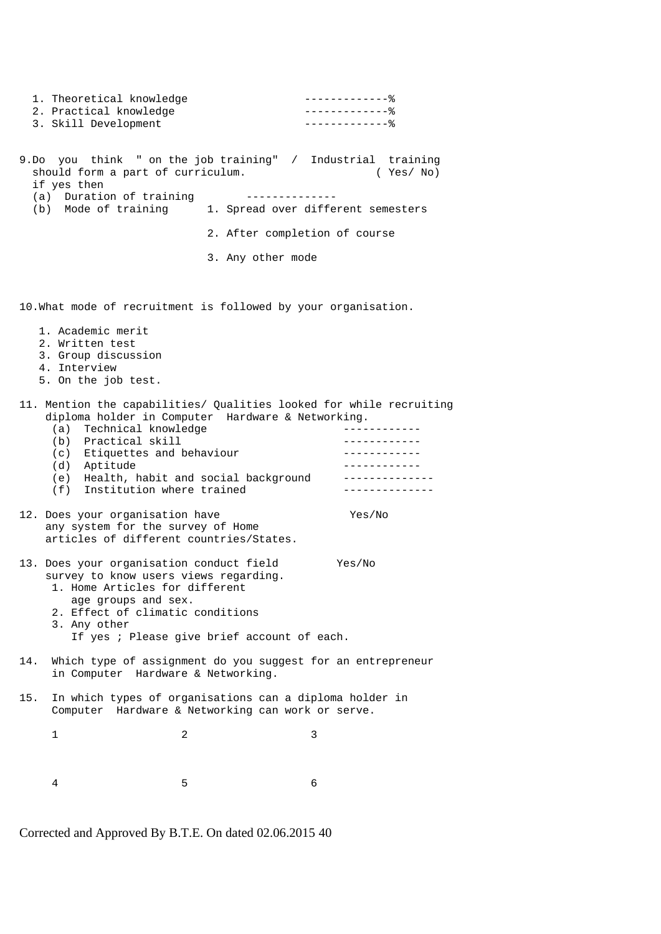| 1. Theoretical knowledge<br>2. Practical knowledge<br>3. Skill Development                                                                                                                                                                                                                             |                               | $--------------%$<br>$-------------$<br>$---------------$                                     |
|--------------------------------------------------------------------------------------------------------------------------------------------------------------------------------------------------------------------------------------------------------------------------------------------------------|-------------------------------|-----------------------------------------------------------------------------------------------|
| 9.Do you think " on the job training" / Industrial training<br>should form a part of curriculum.<br>if yes then<br>(a) Duration of training<br>(b) Mode of training 1. Spread over different semesters                                                                                                 | --------------                | (Yes/No)                                                                                      |
|                                                                                                                                                                                                                                                                                                        | 2. After completion of course |                                                                                               |
|                                                                                                                                                                                                                                                                                                        | 3. Any other mode             |                                                                                               |
| 10. What mode of recruitment is followed by your organisation.                                                                                                                                                                                                                                         |                               |                                                                                               |
| 1. Academic merit<br>2. Written test<br>3. Group discussion<br>4. Interview<br>5. On the job test.                                                                                                                                                                                                     |                               |                                                                                               |
| 11. Mention the capabilities/ Qualities looked for while recruiting<br>diploma holder in Computer Hardware & Networking.<br>(a) Technical knowledge<br>(b) Practical skill<br>(c) Etiquettes and behaviour<br>(d) Aptitude<br>(e) Health, habit and social background<br>(f) Institution where trained |                               | - - - - - - - - - - - - -<br>------------<br>____________<br>______________<br>-------------- |
| 12. Does your organisation have<br>any system for the survey of Home<br>articles of different countries/States.                                                                                                                                                                                        |                               | Yes/No                                                                                        |
| 13. Does your organisation conduct field<br>survey to know users views regarding.<br>1. Home Articles for different<br>age groups and sex.<br>2. Effect of climatic conditions<br>3. Any other<br>If yes : Please give brief account of each.                                                          |                               | Yes/No                                                                                        |
| Which type of assignment do you suggest for an entrepreneur<br>14.<br>in Computer Hardware & Networking.                                                                                                                                                                                               |                               |                                                                                               |
| In which types of organisations can a diploma holder in<br>15.<br>Computer Hardware & Networking can work or serve.                                                                                                                                                                                    |                               |                                                                                               |
| 2<br>1                                                                                                                                                                                                                                                                                                 |                               | 3                                                                                             |
| 5<br>4                                                                                                                                                                                                                                                                                                 |                               | 6                                                                                             |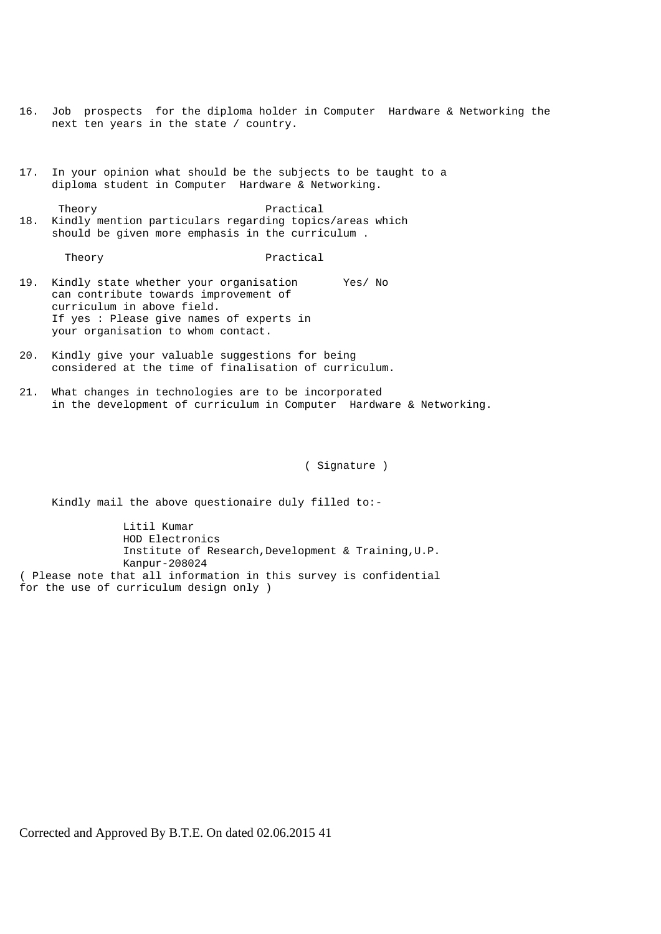- 16. Job prospects for the diploma holder in Computer Hardware & Networking the next ten years in the state / country.
- 17. In your opinion what should be the subjects to be taught to a diploma student in Computer Hardware & Networking.
- Theory **Practical** 18. Kindly mention particulars regarding topics/areas which should be given more emphasis in the curriculum .

Theory **Practical** 

- 19. Kindly state whether your organisation Yes/ No can contribute towards improvement of curriculum in above field. If yes : Please give names of experts in your organisation to whom contact.
- 20. Kindly give your valuable suggestions for being considered at the time of finalisation of curriculum.
- 21. What changes in technologies are to be incorporated in the development of curriculum in Computer Hardware & Networking.

( Signature )

Kindly mail the above questionaire duly filled to:-

 Litil Kumar HOD Electronics Institute of Research,Development & Training,U.P. Kanpur-208024 ( Please note that all information in this survey is confidential for the use of curriculum design only )